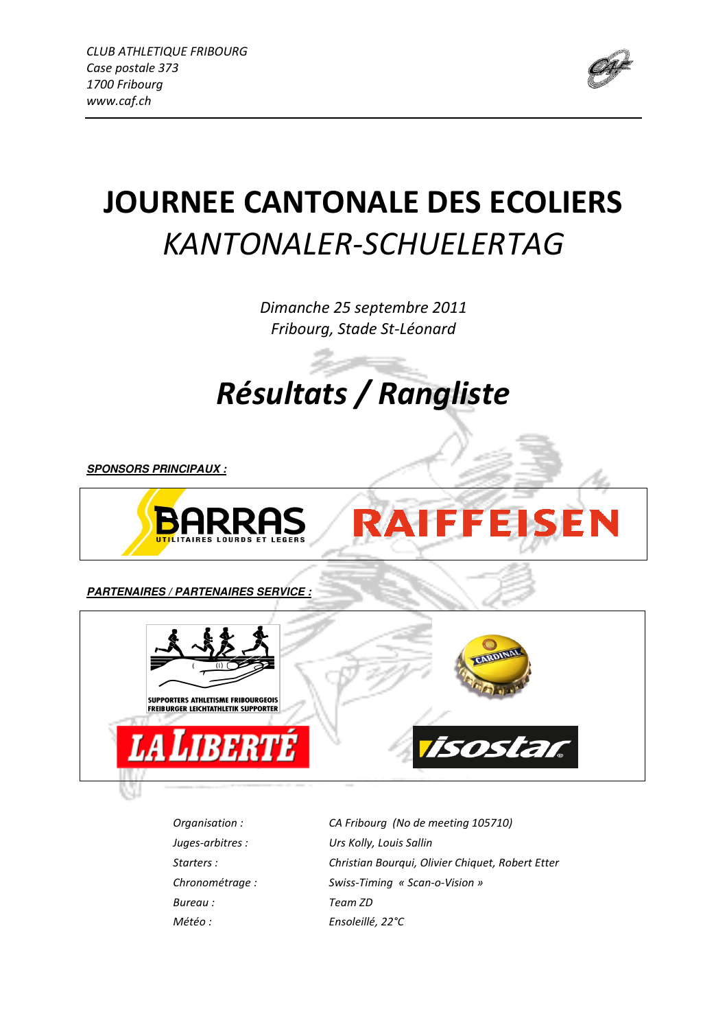

# JOURNEE CANTONALE DES ECOLIERS KANTONALER-SCHUELERTAG

Dimanche 25 septembre 2011 Fribourg, Stade St-Léonard

Résultats / Rangliste

**SPONSORS PRINCIPAUX :**



**PARTENAIRES / PARTENAIRES SERVICE :**



Juges-arbitres : Urs Kolly, Louis Sallin Chronométrage : Swiss-Timing « Scan-o-Vision » Bureau : Team ZD Météo : Ensoleillé, 22°C

Organisation : CA Fribourg (No de meeting 105710) Starters : Christian Bourqui, Olivier Chiquet, Robert Etter

**RAIFFEISEN**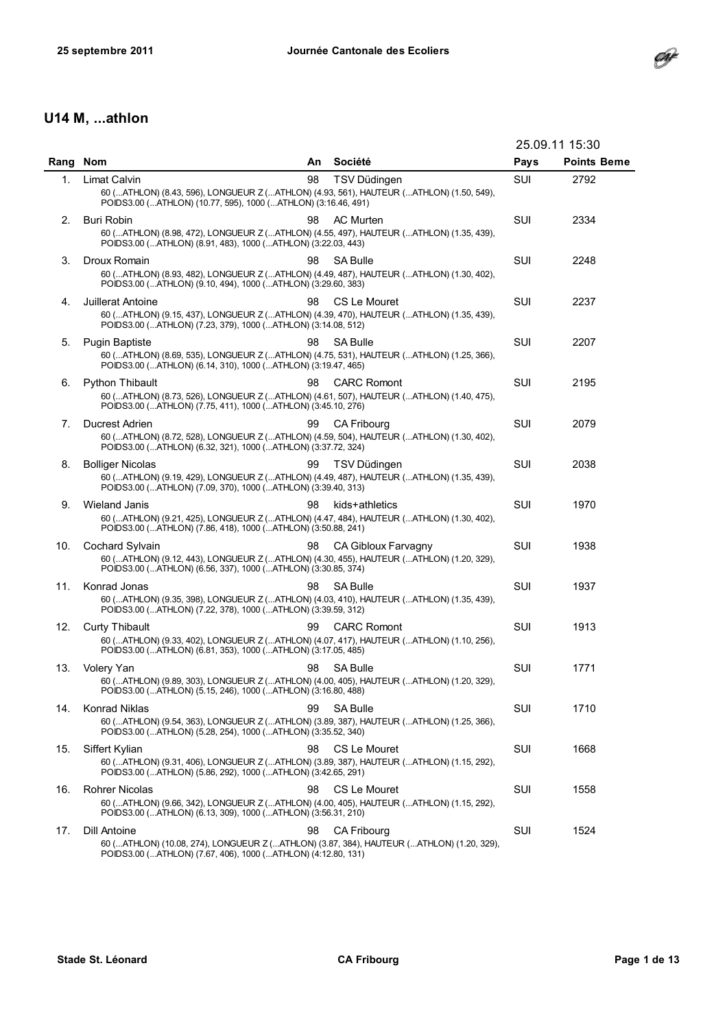

# U14 M, ...athlon

|      |                                                                                                                                                                                    |    |                     | 25.09.11 15:30 |                    |
|------|------------------------------------------------------------------------------------------------------------------------------------------------------------------------------------|----|---------------------|----------------|--------------------|
| Rang | <b>Nom</b>                                                                                                                                                                         | An | Société             | Pays           | <b>Points Beme</b> |
| 1.   | Limat Calvin<br>60 (ATHLON) (8.43, 596), LONGUEUR Z (ATHLON) (4.93, 561), HAUTEUR (ATHLON) (1.50, 549),<br>POIDS3.00 (ATHLON) (10.77, 595), 1000 (ATHLON) (3:16.46, 491)           | 98 | TSV Düdingen        | SUI            | 2792               |
| 2.   | <b>Buri Robin</b><br>60 (ATHLON) (8.98, 472), LONGUEUR Z (ATHLON) (4.55, 497), HAUTEUR (ATHLON) (1.35, 439),<br>POIDS3.00 (ATHLON) (8.91, 483), 1000 (ATHLON) (3:22.03, 443)       | 98 | <b>AC Murten</b>    | SUI            | 2334               |
| 3.   | Droux Romain<br>60 (ATHLON) (8.93, 482), LONGUEUR Z (ATHLON) (4.49, 487), HAUTEUR (ATHLON) (1.30, 402),<br>POIDS3.00 (ATHLON) (9.10, 494), 1000 (ATHLON) (3:29.60, 383)            | 98 | <b>SA Bulle</b>     | SUI            | 2248               |
| 4.   | Juillerat Antoine<br>60 (ATHLON) (9.15, 437), LONGUEUR Z (ATHLON) (4.39, 470), HAUTEUR (ATHLON) (1.35, 439),<br>POIDS3.00 (ATHLON) (7.23, 379), 1000 (ATHLON) (3:14.08, 512)       | 98 | CS Le Mouret        | SUI            | 2237               |
| 5.   | <b>Pugin Baptiste</b><br>60 (ATHLON) (8.69, 535), LONGUEUR Z (ATHLON) (4.75, 531), HAUTEUR (ATHLON) (1.25, 366),<br>POIDS3.00 (ATHLON) (6.14, 310), 1000 (ATHLON) (3:19.47, 465)   | 98 | <b>SA Bulle</b>     | SUI            | 2207               |
| 6.   | <b>Python Thibault</b><br>60 (ATHLON) (8.73, 526), LONGUEUR Z (ATHLON) (4.61, 507), HAUTEUR (ATHLON) (1.40, 475),<br>POIDS3.00 (ATHLON) (7.75, 411), 1000 (ATHLON) (3:45.10, 276)  | 98 | <b>CARC Romont</b>  | SUI            | 2195               |
| 7.   | <b>Ducrest Adrien</b><br>60 (ATHLON) (8.72, 528), LONGUEUR Z (ATHLON) (4.59, 504), HAUTEUR (ATHLON) (1.30, 402),<br>POIDS3.00 (ATHLON) (6.32, 321), 1000 (ATHLON) (3:37.72, 324)   | 99 | <b>CA Fribourg</b>  | SUI            | 2079               |
| 8.   | <b>Bolliger Nicolas</b><br>60 (ATHLON) (9.19, 429), LONGUEUR Z (ATHLON) (4.49, 487), HAUTEUR (ATHLON) (1.35, 439),<br>POIDS3.00 (ATHLON) (7.09, 370), 1000 (ATHLON) (3:39.40, 313) | 99 | TSV Düdingen        | SUI            | 2038               |
| 9.   | <b>Wieland Janis</b><br>60 (ATHLON) (9.21, 425), LONGUEUR Z (ATHLON) (4.47, 484), HAUTEUR (ATHLON) (1.30, 402),<br>POIDS3.00 (ATHLON) (7.86, 418), 1000 (ATHLON) (3:50.88, 241)    | 98 | kids+athletics      | SUI            | 1970               |
| 10.  | <b>Cochard Sylvain</b><br>60 (ATHLON) (9.12, 443), LONGUEUR Z (ATHLON) (4.30, 455), HAUTEUR (ATHLON) (1.20, 329),<br>POIDS3.00 (ATHLON) (6.56, 337), 1000 (ATHLON) (3:30.85, 374)  | 98 | CA Gibloux Farvagny | SUI            | 1938               |
| 11.  | Konrad Jonas<br>60 (ATHLON) (9.35, 398), LONGUEUR Z (ATHLON) (4.03, 410), HAUTEUR (ATHLON) (1.35, 439),<br>POIDS3.00 (ATHLON) (7.22, 378), 1000 (ATHLON) (3:39.59, 312)            | 98 | <b>SA Bulle</b>     | SUI            | 1937               |
| 12.  | <b>Curty Thibault</b><br>60 (ATHLON) (9.33, 402), LONGUEUR Z (ATHLON) (4.07, 417), HAUTEUR (ATHLON) (1.10, 256),<br>POIDS3.00 (ATHLON) (6.81, 353), 1000 (ATHLON) (3:17.05, 485)   | 99 | <b>CARC Romont</b>  | SUI            | 1913               |
| 13.  | <b>Volery Yan</b><br>60 (ATHLON) (9.89, 303), LONGUEUR Z (ATHLON) (4.00, 405), HAUTEUR (ATHLON) (1.20, 329),<br>POIDS3.00 (ATHLON) (5.15, 246), 1000 (ATHLON) (3:16.80, 488)       | 98 | <b>SA Bulle</b>     | SUI            | 1771               |
| 14.  | Konrad Niklas<br>60 (ATHLON) (9.54, 363), LONGUEUR Z (ATHLON) (3.89, 387), HAUTEUR (ATHLON) (1.25, 366),<br>POIDS3.00 (ATHLON) (5.28, 254), 1000 (ATHLON) (3:35.52, 340)           | 99 | <b>SA Bulle</b>     | SUI            | 1710               |
| 15.  | Siffert Kylian<br>60 (ATHLON) (9.31, 406), LONGUEUR Z (ATHLON) (3.89, 387), HAUTEUR (ATHLON) (1.15, 292),<br>POIDS3.00 (ATHLON) (5.86, 292), 1000 (ATHLON) (3:42.65, 291)          | 98 | CS Le Mouret        | SUI            | 1668               |
| 16.  | <b>Rohrer Nicolas</b><br>60 (ATHLON) (9.66, 342), LONGUEUR Z (ATHLON) (4.00, 405), HAUTEUR (ATHLON) (1.15, 292),<br>POIDS3.00 (ATHLON) (6.13, 309), 1000 (ATHLON) (3:56.31, 210)   | 98 | CS Le Mouret        | SUI            | 1558               |
| 17.  | Dill Antoine<br>60 (ATHLON) (10.08, 274), LONGUEUR Z (ATHLON) (3.87, 384), HAUTEUR (ATHLON) (1.20, 329),<br>POIDS3.00 (ATHLON) (7.67, 406), 1000 (ATHLON) (4:12.80, 131)           | 98 | <b>CA Fribourg</b>  | SUI            | 1524               |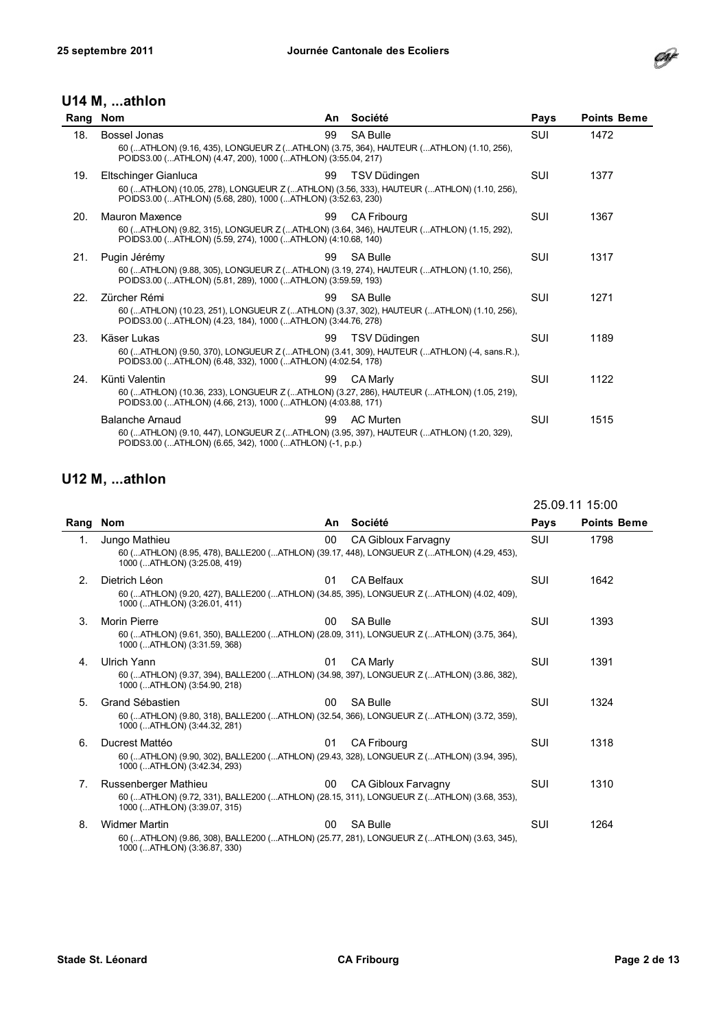

#### U14 M, ...athlon

| Rang | <b>Nom</b>                                                                                                                                                                       | An. | Société            | Pays       | <b>Points Beme</b> |
|------|----------------------------------------------------------------------------------------------------------------------------------------------------------------------------------|-----|--------------------|------------|--------------------|
| 18.  | Bossel Jonas<br>60 (ATHLON) (9.16, 435), LONGUEUR Z (ATHLON) (3.75, 364), HAUTEUR (ATHLON) (1.10, 256),<br>POIDS3.00 (ATHLON) (4.47, 200), 1000 (ATHLON) (3:55.04, 217)          | 99  | <b>SA Bulle</b>    | SUI        | 1472               |
| 19.  | Eltschinger Gianluca<br>60 (ATHLON) (10.05, 278), LONGUEUR Z (ATHLON) (3.56, 333), HAUTEUR (ATHLON) (1.10, 256),<br>POIDS3.00 (ATHLON) (5.68, 280), 1000 (ATHLON) (3:52.63, 230) | 99  | TSV Düdingen       | <b>SUI</b> | 1377               |
| 20.  | <b>Mauron Maxence</b><br>60 (ATHLON) (9.82, 315), LONGUEUR Z (ATHLON) (3.64, 346), HAUTEUR (ATHLON) (1.15, 292),<br>POIDS3.00 (ATHLON) (5.59, 274), 1000 (ATHLON) (4:10.68, 140) | 99  | <b>CA Fribourg</b> | <b>SUI</b> | 1367               |
| 21.  | Pugin Jérémy<br>60 (ATHLON) (9.88, 305), LONGUEUR Z (ATHLON) (3.19, 274), HAUTEUR (ATHLON) (1.10, 256),<br>POIDS3.00 (ATHLON) (5.81, 289), 1000 (ATHLON) (3:59.59, 193)          | 99  | <b>SA Bulle</b>    | <b>SUI</b> | 1317               |
| 22.  | Zürcher Rémi<br>60 (ATHLON) (10.23, 251), LONGUEUR Z (ATHLON) (3.37, 302), HAUTEUR (ATHLON) (1.10, 256),<br>POIDS3.00 (ATHLON) (4.23, 184), 1000 (ATHLON) (3:44.76, 278)         | 99  | <b>SA Bulle</b>    | <b>SUI</b> | 1271               |
| 23.  | Käser Lukas<br>60 (ATHLON) (9.50, 370), LONGUEUR Z (ATHLON) (3.41, 309), HAUTEUR (ATHLON) (-4, sans.R.),<br>POIDS3.00 (ATHLON) (6.48, 332), 1000 (ATHLON) (4:02.54, 178)         | 99  | TSV Düdingen       | SUI        | 1189               |
| 24.  | Künti Valentin<br>60 (ATHLON) (10.36, 233), LONGUEUR Z (ATHLON) (3.27, 286), HAUTEUR (ATHLON) (1.05, 219),<br>POIDS3.00 (ATHLON) (4.66, 213), 1000 (ATHLON) (4:03.88, 171)       | 99  | <b>CA Marly</b>    | SUI        | 1122               |
|      | <b>Balanche Arnaud</b><br>60 (ATHLON) (9.10, 447), LONGUEUR Z (ATHLON) (3.95, 397), HAUTEUR (ATHLON) (1.20, 329),<br>POIDS3.00 (ATHLON) (6.65, 342), 1000 (ATHLON) (-1, p.p.)    | 99  | <b>AC Murten</b>   | <b>SUI</b> | 1515               |

|      |                                                                                                                                                   |    |                     | 25.09.11 15:00 |                    |
|------|---------------------------------------------------------------------------------------------------------------------------------------------------|----|---------------------|----------------|--------------------|
| Rang | Nom                                                                                                                                               | An | Société             | Pays           | <b>Points Beme</b> |
| 1.   | Jungo Mathieu<br>60 (ATHLON) (8.95, 478), BALLE200 (ATHLON) (39.17, 448), LONGUEUR Z (ATHLON) (4.29, 453),<br>1000 (ATHLON) (3:25.08, 419)        | 00 | CA Gibloux Farvagny | <b>SUI</b>     | 1798               |
| 2.   | Dietrich Léon<br>60 (ATHLON) (9.20, 427), BALLE200 (ATHLON) (34.85, 395), LONGUEUR Z (ATHLON) (4.02, 409),<br>1000 (ATHLON) (3:26.01, 411)        | 01 | <b>CA Belfaux</b>   | <b>SUI</b>     | 1642               |
| 3.   | <b>Morin Pierre</b><br>60 (ATHLON) (9.61, 350), BALLE200 (ATHLON) (28.09, 311), LONGUEUR Z (ATHLON) (3.75, 364),<br>1000 (ATHLON) (3:31.59, 368)  | 00 | <b>SA Bulle</b>     | SUI            | 1393               |
| 4.   | <b>Ulrich Yann</b><br>60 (ATHLON) (9.37, 394), BALLE200 (ATHLON) (34.98, 397), LONGUEUR Z (ATHLON) (3.86, 382),<br>1000 (ATHLON) (3:54.90, 218)   | 01 | <b>CA Marlv</b>     | <b>SUI</b>     | 1391               |
| 5.   | Grand Sébastien<br>60 (ATHLON) (9.80, 318), BALLE200 (ATHLON) (32.54, 366), LONGUEUR Z (ATHLON) (3.72, 359),<br>1000 (ATHLON) (3:44.32, 281)      | 00 | <b>SA Bulle</b>     | SUI            | 1324               |
| 6.   | Ducrest Mattéo<br>60 (ATHLON) (9.90, 302), BALLE200 (ATHLON) (29.43, 328), LONGUEUR Z (ATHLON) (3.94, 395),<br>1000 (ATHLON) (3:42.34, 293)       | 01 | <b>CA Fribourg</b>  | SUI            | 1318               |
| 7.   | Russenberger Mathieu<br>60 (ATHLON) (9.72, 331), BALLE200 (ATHLON) (28.15, 311), LONGUEUR Z (ATHLON) (3.68, 353),<br>1000 (ATHLON) (3:39.07, 315) | 00 | CA Gibloux Farvagny | SUI            | 1310               |
| 8.   | <b>Widmer Martin</b><br>60 (ATHLON) (9.86, 308), BALLE200 (ATHLON) (25.77, 281), LONGUEUR Z (ATHLON) (3.63, 345),<br>1000 (ATHLON) (3:36.87, 330) | 00 | <b>SA Bulle</b>     | SUI            | 1264               |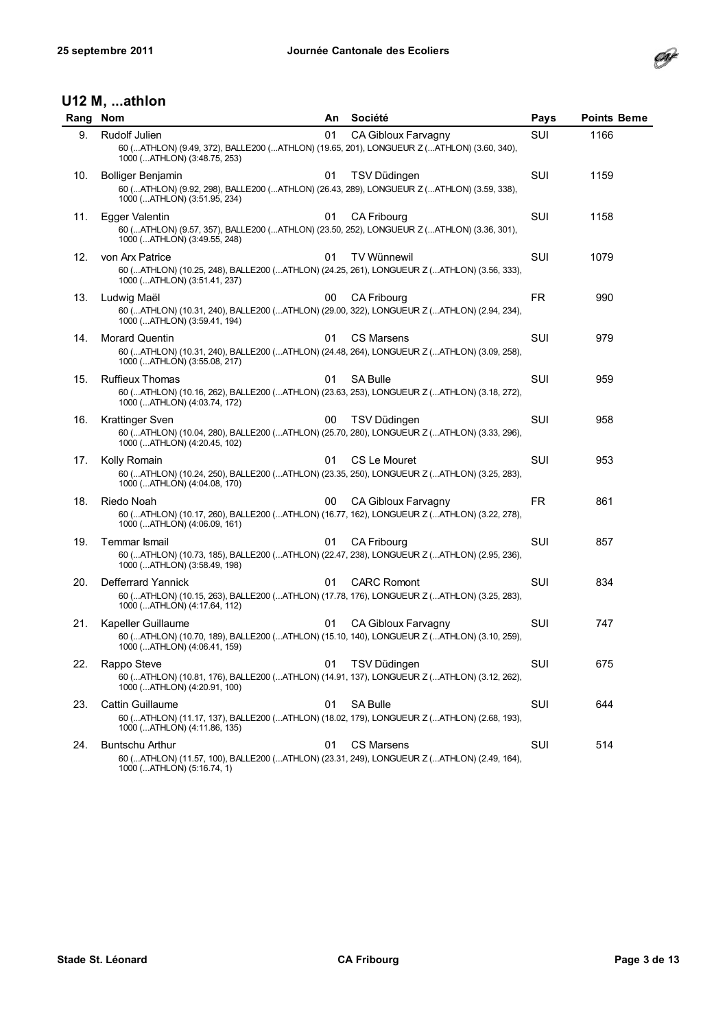

| Rang | <b>Nom</b>                                                                                                                                                                            | An. | Société             | Pays | <b>Points Beme</b> |
|------|---------------------------------------------------------------------------------------------------------------------------------------------------------------------------------------|-----|---------------------|------|--------------------|
| 9.   | Rudolf Julien<br>60 (ATHLON) (9.49, 372), BALLE200 (ATHLON) (19.65, 201), LONGUEUR Z (ATHLON) (3.60, 340),                                                                            | 01  | CA Gibloux Farvagny | SUI  | 1166               |
| 10.  | 1000 (ATHLON) (3:48.75, 253)<br><b>Bolliger Benjamin</b><br>60 (ATHLON) (9.92, 298), BALLE200 (ATHLON) (26.43, 289), LONGUEUR Z (ATHLON) (3.59, 338),<br>1000 (ATHLON) (3:51.95, 234) | 01  | TSV Düdingen        | SUI  | 1159               |
| 11.  | Egger Valentin<br>60 (ATHLON) (9.57, 357), BALLE200 (ATHLON) (23.50, 252), LONGUEUR Z (ATHLON) (3.36, 301),<br>1000 (ATHLON) (3:49.55, 248)                                           | 01  | CA Fribourg         | SUI  | 1158               |
| 12.  | von Arx Patrice<br>60 (ATHLON) (10.25, 248), BALLE200 (ATHLON) (24.25, 261), LONGUEUR Z (ATHLON) (3.56, 333),<br>1000 (ATHLON) (3:51.41, 237)                                         | 01  | <b>TV Wünnewil</b>  | SUI  | 1079               |
| 13.  | Ludwig Maël<br>60 (ATHLON) (10.31, 240), BALLE200 (ATHLON) (29.00, 322), LONGUEUR Z (ATHLON) (2.94, 234),<br>1000 (ATHLON) (3:59.41, 194)                                             | 00  | CA Fribourg         | FR.  | 990                |
| 14.  | <b>Morard Quentin</b><br>60 (ATHLON) (10.31, 240), BALLE200 (ATHLON) (24.48, 264), LONGUEUR Z (ATHLON) (3.09, 258),<br>1000 (ATHLON) (3:55.08, 217)                                   | 01  | <b>CS Marsens</b>   | SUI  | 979                |
| 15.  | Ruffieux Thomas<br>60 (ATHLON) (10.16, 262), BALLE200 (ATHLON) (23.63, 253), LONGUEUR Z (ATHLON) (3.18, 272),<br>1000 (ATHLON) (4:03.74, 172)                                         | 01  | <b>SA Bulle</b>     | SUI  | 959                |
| 16.  | <b>Krattinger Sven</b><br>60 (ATHLON) (10.04, 280), BALLE200 (ATHLON) (25.70, 280), LONGUEUR Z (ATHLON) (3.33, 296),<br>1000 (ATHLON) (4:20.45, 102)                                  | 00  | TSV Düdingen        | SUI  | 958                |
| 17.  | Kolly Romain<br>60 (ATHLON) (10.24, 250), BALLE200 (ATHLON) (23.35, 250), LONGUEUR Z (ATHLON) (3.25, 283),<br>1000 (ATHLON) (4:04.08, 170)                                            | 01  | CS Le Mouret        | SUI  | 953                |
| 18.  | Riedo Noah<br>60 (ATHLON) (10.17, 260), BALLE200 (ATHLON) (16.77, 162), LONGUEUR Z (ATHLON) (3.22, 278),<br>1000 (ATHLON) (4:06.09, 161)                                              | 00  | CA Gibloux Farvagny | FR.  | 861                |
| 19.  | <b>Temmar Ismail</b><br>60 (ATHLON) (10.73, 185), BALLE200 (ATHLON) (22.47, 238), LONGUEUR Z (ATHLON) (2.95, 236),<br>1000 (ATHLON) (3:58.49, 198)                                    | 01  | <b>CA Fribourg</b>  | SUI  | 857                |
| 20.  | Defferrard Yannick<br>60 (ATHLON) (10.15, 263), BALLE200 (ATHLON) (17.78, 176), LONGUEUR Z (ATHLON) (3.25, 283),<br>1000 (ATHLON) (4:17.64, 112)                                      | 01  | <b>CARC Romont</b>  | SUI  | 834                |
| 21.  | Kapeller Guillaume<br>60 (ATHLON) (10.70, 189), BALLE200 (ATHLON) (15.10, 140), LONGUEUR Z (ATHLON) (3.10, 259),<br>1000 (ATHLON) (4:06.41, 159)                                      | 01  | CA Gibloux Farvagny | SUI  | 747                |
| 22.  | Rappo Steve<br>60 (ATHLON) (10.81, 176), BALLE200 (ATHLON) (14.91, 137), LONGUEUR Z (ATHLON) (3.12, 262),<br>1000 (ATHLON) (4:20.91, 100)                                             | 01  | TSV Düdingen        | SUI  | 675                |
| 23.  | <b>Cattin Guillaume</b><br>60 (ATHLON) (11.17, 137), BALLE200 (ATHLON) (18.02, 179), LONGUEUR Z (ATHLON) (2.68, 193),<br>1000 (ATHLON) (4:11.86, 135)                                 | 01  | SA Bulle            | SUI  | 644                |
| 24.  | <b>Buntschu Arthur</b><br>60 (ATHLON) (11.57, 100), BALLE200 (ATHLON) (23.31, 249), LONGUEUR Z (ATHLON) (2.49, 164),<br>1000 (ATHLON) (5:16.74, 1)                                    | 01  | CS Marsens          | SUI  | 514                |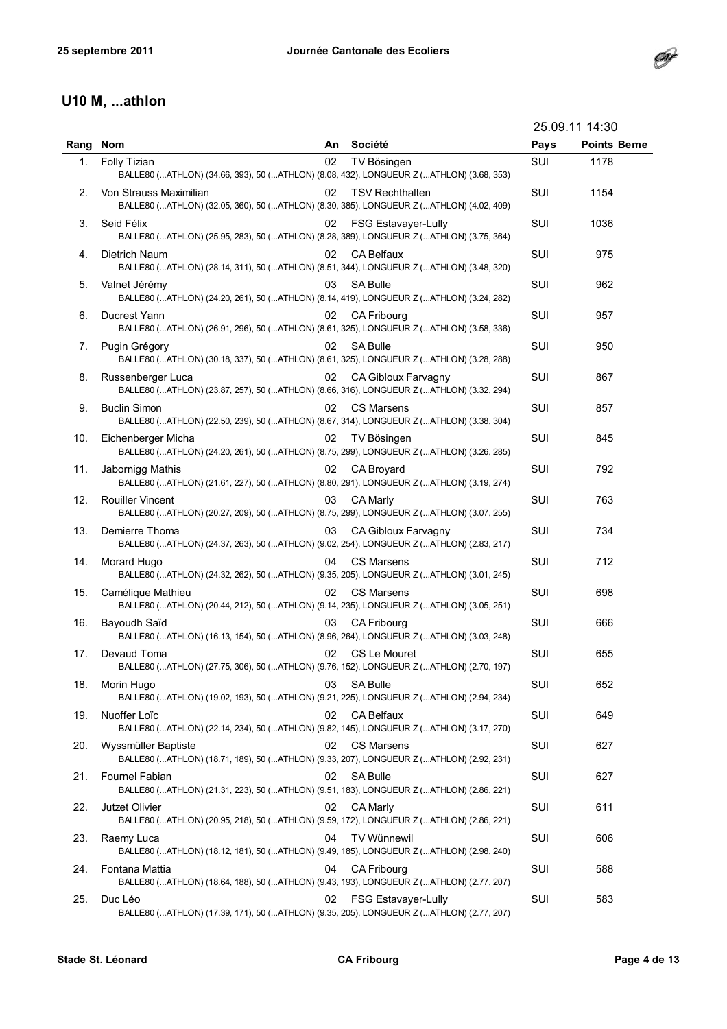

## U10 M, ...athlon

|      |                                                                                                                    |    |                            |      | 25.09.11 14:30     |
|------|--------------------------------------------------------------------------------------------------------------------|----|----------------------------|------|--------------------|
| Rang | <b>Nom</b>                                                                                                         | An | Société                    | Pays | <b>Points Beme</b> |
| 1.   | Folly Tizian<br>BALLE80 (ATHLON) (34.66, 393), 50 (ATHLON) (8.08, 432), LONGUEUR Z (ATHLON) (3.68, 353)            | 02 | TV Bösingen                | SUI  | 1178               |
| 2.   | Von Strauss Maximilian<br>BALLE80 (ATHLON) (32.05, 360), 50 (ATHLON) (8.30, 385), LONGUEUR Z (ATHLON) (4.02, 409)  | 02 | <b>TSV Rechthalten</b>     | SUI  | 1154               |
| 3.   | Seid Félix<br>BALLE80 (ATHLON) (25.95, 283), 50 (ATHLON) (8.28, 389), LONGUEUR Z (ATHLON) (3.75, 364)              | 02 | <b>FSG Estavayer-Lully</b> | SUI  | 1036               |
| 4.   | Dietrich Naum<br>BALLE80 (ATHLON) (28.14, 311), 50 (ATHLON) (8.51, 344), LONGUEUR Z (ATHLON) (3.48, 320)           | 02 | CA Belfaux                 | SUI  | 975                |
| 5.   | Valnet Jérémy<br>BALLE80 (ATHLON) (24.20, 261), 50 (ATHLON) (8.14, 419), LONGUEUR Z (ATHLON) (3.24, 282)           | 03 | <b>SA Bulle</b>            | SUI  | 962                |
| 6.   | Ducrest Yann<br>BALLE80 (ATHLON) (26.91, 296), 50 (ATHLON) (8.61, 325), LONGUEUR Z (ATHLON) (3.58, 336)            | 02 | <b>CA Fribourg</b>         | SUI  | 957                |
| 7.   | Pugin Grégory<br>BALLE80 (ATHLON) (30.18, 337), 50 (ATHLON) (8.61, 325), LONGUEUR Z (ATHLON) (3.28, 288)           | 02 | <b>SA Bulle</b>            | SUI  | 950                |
| 8.   | Russenberger Luca<br>BALLE80 (ATHLON) (23.87, 257), 50 (ATHLON) (8.66, 316), LONGUEUR Z (ATHLON) (3.32, 294)       | 02 | CA Gibloux Farvagny        | SUI  | 867                |
| 9.   | <b>Buclin Simon</b><br>BALLE80 (ATHLON) (22.50, 239), 50 (ATHLON) (8.67, 314), LONGUEUR Z (ATHLON) (3.38, 304)     | 02 | CS Marsens                 | SUI  | 857                |
| 10.  | Eichenberger Micha<br>BALLE80 (ATHLON) (24.20, 261), 50 (ATHLON) (8.75, 299), LONGUEUR Z (ATHLON) (3.26, 285)      | 02 | TV Bösingen                | SUI  | 845                |
| 11.  | Jabornigg Mathis<br>BALLE80 (ATHLON) (21.61, 227), 50 (ATHLON) (8.80, 291), LONGUEUR Z (ATHLON) (3.19, 274)        | 02 | CA Broyard                 | SUI  | 792                |
| 12.  | <b>Rouiller Vincent</b><br>BALLE80 (ATHLON) (20.27, 209), 50 (ATHLON) (8.75, 299), LONGUEUR Z (ATHLON) (3.07, 255) | 03 | CA Marly                   | SUI  | 763                |
| 13.  | Demierre Thoma<br>BALLE80 (ATHLON) (24.37, 263), 50 (ATHLON) (9.02, 254), LONGUEUR Z (ATHLON) (2.83, 217)          | 03 | CA Gibloux Farvagny        | SUI  | 734                |
| 14.  | Morard Hugo<br>BALLE80 (ATHLON) (24.32, 262), 50 (ATHLON) (9.35, 205), LONGUEUR Z (ATHLON) (3.01, 245)             | 04 | CS Marsens                 | SUI  | 712                |
| 15.  | Camélique Mathieu<br>BALLE80 (ATHLON) (20.44, 212), 50 (ATHLON) (9.14, 235), LONGUEUR Z (ATHLON) (3.05, 251)       | 02 | <b>CS Marsens</b>          | SUI  | 698                |
| 16.  | Bayoudh Saïd<br>BALLE80 (ATHLON) (16.13, 154), 50 (ATHLON) (8.96, 264), LONGUEUR Z (ATHLON) (3.03, 248)            | 03 | <b>CA Fribourg</b>         | SUI  | 666                |
| 17.  | Devaud Toma<br>BALLE80 (ATHLON) (27.75, 306), 50 (ATHLON) (9.76, 152), LONGUEUR Z (ATHLON) (2.70, 197)             |    | 02 CS Le Mouret            | SUI  | 655                |
| 18.  | Morin Hugo<br>BALLE80 (ATHLON) (19.02, 193), 50 (ATHLON) (9.21, 225), LONGUEUR Z (ATHLON) (2.94, 234)              | 03 | <b>SA Bulle</b>            | SUI  | 652                |
| 19.  | Nuoffer Loïc<br>BALLE80 (ATHLON) (22.14, 234), 50 (ATHLON) (9.82, 145), LONGUEUR Z (ATHLON) (3.17, 270)            | 02 | <b>CA Belfaux</b>          | SUI  | 649                |
| 20.  | Wyssmüller Baptiste<br>BALLE80 (ATHLON) (18.71, 189), 50 (ATHLON) (9.33, 207), LONGUEUR Z (ATHLON) (2.92, 231)     | 02 | <b>CS Marsens</b>          | SUI  | 627                |
| 21.  | <b>Fournel Fabian</b><br>BALLE80 (ATHLON) (21.31, 223), 50 (ATHLON) (9.51, 183), LONGUEUR Z (ATHLON) (2.86, 221)   | 02 | <b>SA Bulle</b>            | SUI  | 627                |
| 22.  | Jutzet Olivier<br>BALLE80 (ATHLON) (20.95, 218), 50 (ATHLON) (9.59, 172), LONGUEUR Z (ATHLON) (2.86, 221)          | 02 | <b>CA Marly</b>            | SUI  | 611                |
| 23.  | Raemy Luca<br>BALLE80 (ATHLON) (18.12, 181), 50 (ATHLON) (9.49, 185), LONGUEUR Z (ATHLON) (2.98, 240)              | 04 | TV Wünnewil                | SUI  | 606                |
| 24.  | Fontana Mattia<br>BALLE80 (ATHLON) (18.64, 188), 50 (ATHLON) (9.43, 193), LONGUEUR Z (ATHLON) (2.77, 207)          | 04 | CA Fribourg                | SUI  | 588                |
| 25.  | Duc Léo<br>BALLE80 (ATHLON) (17.39, 171), 50 (ATHLON) (9.35, 205), LONGUEUR Z (ATHLON) (2.77, 207)                 | 02 | <b>FSG Estavayer-Lully</b> | SUI  | 583                |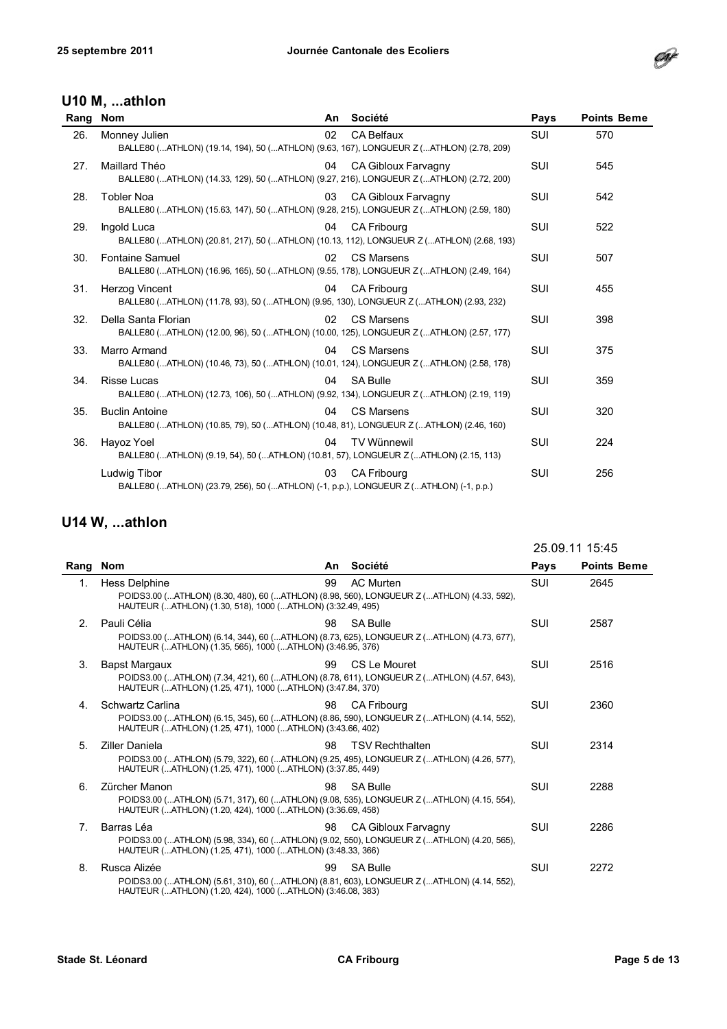

#### U10 M, ...athlon

| Rang | <b>Nom</b>                                                                                                        | An. | Société                    | Pays       | <b>Points Beme</b> |
|------|-------------------------------------------------------------------------------------------------------------------|-----|----------------------------|------------|--------------------|
| 26.  | Monney Julien<br>BALLE80 (ATHLON) (19.14, 194), 50 (ATHLON) (9.63, 167), LONGUEUR Z (ATHLON) (2.78, 209)          | 02  | <b>CA Belfaux</b>          | <b>SUI</b> | 570                |
| 27.  | Maillard Théo<br>BALLE80 (ATHLON) (14.33, 129), 50 (ATHLON) (9.27, 216), LONGUEUR Z (ATHLON) (2.72, 200)          | 04  | CA Gibloux Farvagny        | <b>SUI</b> | 545                |
| 28.  | <b>Tobler Noa</b><br>BALLE80 (ATHLON) (15.63, 147), 50 (ATHLON) (9.28, 215), LONGUEUR Z (ATHLON) (2.59, 180)      | 03  | <b>CA Gibloux Farvagny</b> | <b>SUI</b> | 542                |
| 29.  | Ingold Luca<br>BALLE80 (ATHLON) (20.81, 217), 50 (ATHLON) (10.13, 112), LONGUEUR Z (ATHLON) (2.68, 193)           | 04  | <b>CA Fribourg</b>         | <b>SUI</b> | 522                |
| 30.  | <b>Fontaine Samuel</b><br>BALLE80 (ATHLON) (16.96, 165), 50 (ATHLON) (9.55, 178), LONGUEUR Z (ATHLON) (2.49, 164) | 02  | <b>CS Marsens</b>          | <b>SUI</b> | 507                |
| 31.  | Herzog Vincent<br>BALLE80 (ATHLON) (11.78, 93), 50 (ATHLON) (9.95, 130), LONGUEUR Z (ATHLON) (2.93, 232)          | 04  | <b>CA Fribourg</b>         | <b>SUI</b> | 455                |
| 32.  | Della Santa Florian<br>BALLE80 (ATHLON) (12.00, 96), 50 (ATHLON) (10.00, 125), LONGUEUR Z (ATHLON) (2.57, 177)    | 02  | <b>CS Marsens</b>          | <b>SUI</b> | 398                |
| 33.  | Marro Armand<br>BALLE80 (ATHLON) (10.46, 73), 50 (ATHLON) (10.01, 124), LONGUEUR Z (ATHLON) (2.58, 178)           | 04  | CS Marsens                 | SUI        | 375                |
| 34.  | <b>Risse Lucas</b><br>BALLE80 (ATHLON) (12.73, 106), 50 (ATHLON) (9.92, 134), LONGUEUR Z (ATHLON) (2.19, 119)     | 04  | <b>SA Bulle</b>            | <b>SUI</b> | 359                |
| 35.  | <b>Buclin Antoine</b><br>BALLE80 (ATHLON) (10.85, 79), 50 (ATHLON) (10.48, 81), LONGUEUR Z (ATHLON) (2.46, 160)   | 04  | CS Marsens                 | <b>SUI</b> | 320                |
| 36.  | Hayoz Yoel<br>BALLE80 (ATHLON) (9.19, 54), 50 (ATHLON) (10.81, 57), LONGUEUR Z (ATHLON) (2.15, 113)               | 04  | <b>TV Wünnewil</b>         | <b>SUI</b> | 224                |
|      | Ludwig Tibor<br>BALLE80 (ATHLON) (23.79, 256), 50 (ATHLON) (-1, p.p.), LONGUEUR Z (ATHLON) (-1, p.p.)             | 03  | <b>CA Fribourg</b>         | SUI        | 256                |

|      |                                                                                                                                                                                 |    |                        |            | 25.09.11 15:45     |
|------|---------------------------------------------------------------------------------------------------------------------------------------------------------------------------------|----|------------------------|------------|--------------------|
| Rang | Nom                                                                                                                                                                             | An | Société                | Pays       | <b>Points Beme</b> |
| 1.   | <b>Hess Delphine</b><br>POIDS3.00 (ATHLON) (8.30, 480), 60 (ATHLON) (8.98, 560), LONGUEUR Z (ATHLON) (4.33, 592),<br>HAUTEUR (ATHLON) (1.30, 518), 1000 (ATHLON) (3:32.49, 495) | 99 | <b>AC Murten</b>       | <b>SUI</b> | 2645               |
| 2.   | Pauli Célia<br>POIDS3.00 (ATHLON) (6.14, 344), 60 (ATHLON) (8.73, 625), LONGUEUR Z (ATHLON) (4.73, 677),<br>HAUTEUR (ATHLON) (1.35, 565), 1000 (ATHLON) (3:46.95, 376)          | 98 | <b>SA Bulle</b>        | <b>SUI</b> | 2587               |
| 3.   | <b>Bapst Margaux</b><br>POIDS3.00 (ATHLON) (7.34, 421), 60 (ATHLON) (8.78, 611), LONGUEUR Z (ATHLON) (4.57, 643),<br>HAUTEUR (ATHLON) (1.25, 471), 1000 (ATHLON) (3:47.84, 370) | 99 | CS Le Mouret           | <b>SUI</b> | 2516               |
| 4.   | Schwartz Carlina<br>POIDS3.00 (ATHLON) (6.15, 345), 60 (ATHLON) (8.86, 590), LONGUEUR Z (ATHLON) (4.14, 552),<br>HAUTEUR (ATHLON) (1.25, 471), 1000 (ATHLON) (3:43.66, 402)     | 98 | <b>CA Fribourg</b>     | <b>SUI</b> | 2360               |
| 5.   | Ziller Daniela<br>POIDS3.00 (ATHLON) (5.79, 322), 60 (ATHLON) (9.25, 495), LONGUEUR Z (ATHLON) (4.26, 577),<br>HAUTEUR (ATHLON) (1.25, 471), 1000 (ATHLON) (3:37.85, 449)       | 98 | <b>TSV Rechthalten</b> | <b>SUI</b> | 2314               |
| 6.   | Zürcher Manon<br>POIDS3.00 (ATHLON) (5.71, 317), 60 (ATHLON) (9.08, 535), LONGUEUR Z (ATHLON) (4.15, 554),<br>HAUTEUR (ATHLON) (1.20, 424), 1000 (ATHLON) (3:36.69, 458)        | 98 | <b>SA Bulle</b>        | <b>SUI</b> | 2288               |
| 7.   | Barras Léa<br>POIDS3.00 (ATHLON) (5.98, 334), 60 (ATHLON) (9.02, 550), LONGUEUR Z (ATHLON) (4.20, 565),<br>HAUTEUR (ATHLON) (1.25, 471), 1000 (ATHLON) (3:48.33, 366)           | 98 | CA Gibloux Farvagny    | <b>SUI</b> | 2286               |
| 8.   | Rusca Alizée<br>POIDS3.00 (ATHLON) (5.61, 310), 60 (ATHLON) (8.81, 603), LONGUEUR Z (ATHLON) (4.14, 552),<br>HAUTEUR (ATHLON) (1.20, 424), 1000 (ATHLON) (3:46.08, 383)         | 99 | <b>SA Bulle</b>        | <b>SUI</b> | 2272               |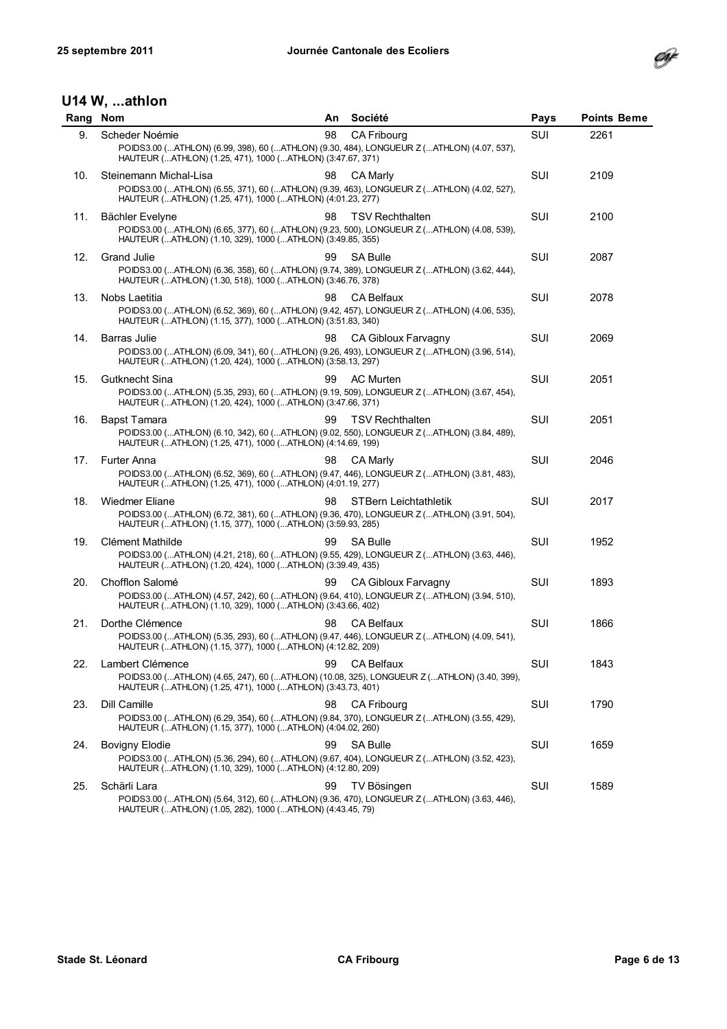

| Rang | <b>Nom</b>                                                                                                                                                                         | An | Société                      | Pays | <b>Points Beme</b> |
|------|------------------------------------------------------------------------------------------------------------------------------------------------------------------------------------|----|------------------------------|------|--------------------|
| 9.   | Scheder Noémie                                                                                                                                                                     | 98 | <b>CA Fribourg</b>           | SUI  | 2261               |
|      | POIDS3.00 (ATHLON) (6.99, 398), 60 (ATHLON) (9.30, 484), LONGUEUR Z (ATHLON) (4.07, 537),<br>HAUTEUR (ATHLON) (1.25, 471), 1000 (ATHLON) (3:47.67, 371)                            |    |                              |      |                    |
| 10.  | Steinemann Michal-Lisa<br>POIDS3.00 (ATHLON) (6.55, 371), 60 (ATHLON) (9.39, 463), LONGUEUR Z (ATHLON) (4.02, 527),<br>HAUTEUR (ATHLON) (1.25, 471), 1000 (ATHLON) (4:01.23, 277)  | 98 | CA Marly                     | SUI  | 2109               |
| 11.  | Bächler Evelyne<br>POIDS3.00 (ATHLON) (6.65, 377), 60 (ATHLON) (9.23, 500), LONGUEUR Z (ATHLON) (4.08, 539),<br>HAUTEUR (ATHLON) (1.10, 329), 1000 (ATHLON) (3:49.85, 355)         | 98 | <b>TSV Rechthalten</b>       | SUI  | 2100               |
| 12.  | Grand Julie<br>POIDS3.00 (ATHLON) (6.36, 358), 60 (ATHLON) (9.74, 389), LONGUEUR Z (ATHLON) (3.62, 444),<br>HAUTEUR (ATHLON) (1.30, 518), 1000 (ATHLON) (3:46.76, 378)             | 99 | <b>SA Bulle</b>              | SUI  | 2087               |
| 13.  | Nobs Laetitia<br>POIDS3.00 (ATHLON) (6.52, 369), 60 (ATHLON) (9.42, 457), LONGUEUR Z (ATHLON) (4.06, 535),<br>HAUTEUR (ATHLON) (1.15, 377), 1000 (ATHLON) (3:51.83, 340)           | 98 | <b>CA Belfaux</b>            | SUI  | 2078               |
| 14.  | <b>Barras Julie</b><br>POIDS3.00 (ATHLON) (6.09, 341), 60 (ATHLON) (9.26, 493), LONGUEUR Z (ATHLON) (3.96, 514),<br>HAUTEUR (ATHLON) (1.20, 424), 1000 (ATHLON) (3:58.13, 297)     | 98 | CA Gibloux Farvagny          | SUI  | 2069               |
| 15.  | Gutknecht Sina<br>POIDS3.00 (ATHLON) (5.35, 293), 60 (ATHLON) (9.19, 509), LONGUEUR Z (ATHLON) (3.67, 454),<br>HAUTEUR (ATHLON) (1.20, 424), 1000 (ATHLON) (3:47.66, 371)          | 99 | <b>AC Murten</b>             | SUI  | 2051               |
| 16.  | <b>Bapst Tamara</b><br>POIDS3.00 (ATHLON) (6.10, 342), 60 (ATHLON) (9.02, 550), LONGUEUR Z (ATHLON) (3.84, 489),<br>HAUTEUR (ATHLON) (1.25, 471), 1000 (ATHLON) (4:14.69, 199)     | 99 | <b>TSV Rechthalten</b>       | SUI  | 2051               |
| 17.  | Furter Anna<br>POIDS3.00 (ATHLON) (6.52, 369), 60 (ATHLON) (9.47, 446), LONGUEUR Z (ATHLON) (3.81, 483),<br>HAUTEUR (ATHLON) (1.25, 471), 1000 (ATHLON) (4:01.19, 277)             | 98 | CA Marly                     | SUI  | 2046               |
| 18.  | <b>Wiedmer Eliane</b><br>POIDS3.00 (ATHLON) (6.72, 381), 60 (ATHLON) (9.36, 470), LONGUEUR Z (ATHLON) (3.91, 504),<br>HAUTEUR (ATHLON) (1.15, 377), 1000 (ATHLON) (3:59.93, 285)   | 98 | <b>STBern Leichtathletik</b> | SUI  | 2017               |
| 19.  | <b>Clément Mathilde</b><br>POIDS3.00 (ATHLON) (4.21, 218), 60 (ATHLON) (9.55, 429), LONGUEUR Z (ATHLON) (3.63, 446),<br>HAUTEUR (ATHLON) (1.20, 424), 1000 (ATHLON) (3:39.49, 435) | 99 | <b>SA Bulle</b>              | SUI  | 1952               |
| 20.  | Chofflon Salomé<br>POIDS3.00 (ATHLON) (4.57, 242), 60 (ATHLON) (9.64, 410), LONGUEUR Z (ATHLON) (3.94, 510),<br>HAUTEUR (ATHLON) (1.10, 329), 1000 (ATHLON) (3:43.66, 402)         | 99 | CA Gibloux Farvagny          | SUI  | 1893               |
| 21.  | Dorthe Clémence<br>POIDS3.00 (ATHLON) (5.35, 293), 60 (ATHLON) (9.47, 446), LONGUEUR Z (ATHLON) (4.09, 541),<br>HAUTEUR (ATHLON) (1.15, 377), 1000 (ATHLON) (4:12.82, 209)         | 98 | <b>CA Belfaux</b>            | SUI  | 1866               |
| 22.  | Lambert Clémence<br>POIDS3.00 (ATHLON) (4.65, 247), 60 (ATHLON) (10.08, 325), LONGUEUR Z (ATHLON) (3.40, 399),<br>HAUTEUR (ATHLON) (1.25, 471), 1000 (ATHLON) (3:43.73, 401)       | 99 | CA Belfaux                   | SUI  | 1843               |
| 23.  | Dill Camille<br>POIDS3.00 (ATHLON) (6.29, 354), 60 (ATHLON) (9.84, 370), LONGUEUR Z (ATHLON) (3.55, 429),<br>HAUTEUR (ATHLON) (1.15, 377), 1000 (ATHLON) (4:04.02, 260)            | 98 | <b>CA Fribourg</b>           | SUI  | 1790               |
| 24.  | <b>Bovigny Elodie</b><br>POIDS3.00 (ATHLON) (5.36, 294), 60 (ATHLON) (9.67, 404), LONGUEUR Z (ATHLON) (3.52, 423),<br>HAUTEUR (ATHLON) (1.10, 329), 1000 (ATHLON) (4:12.80, 209)   | 99 | <b>SA Bulle</b>              | SUI  | 1659               |
| 25.  | Schärli Lara<br>POIDS3.00 (ATHLON) (5.64, 312), 60 (ATHLON) (9.36, 470), LONGUEUR Z (ATHLON) (3.63, 446),<br>HAUTEUR (ATHLON) (1.05, 282), 1000 (ATHLON) (4:43.45, 79)             | 99 | TV Bösingen                  | SUI  | 1589               |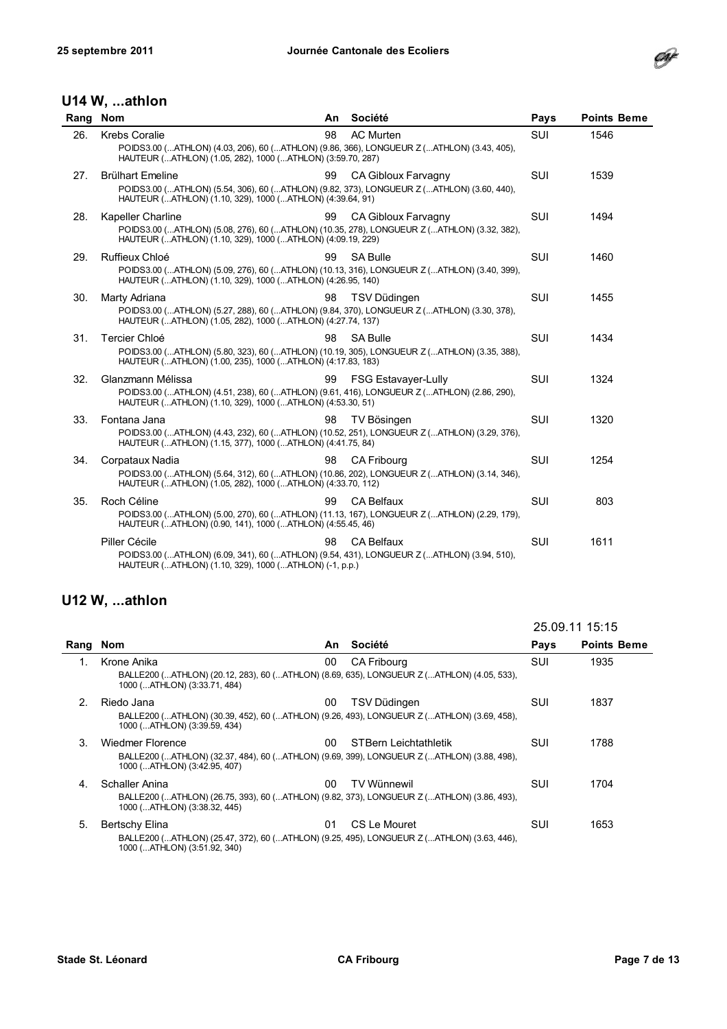

#### U14 W, ...athlon

| Rang | <b>Nom</b>                                                                           | An | Société                                                                                                                 | Pays       | <b>Points Beme</b> |
|------|--------------------------------------------------------------------------------------|----|-------------------------------------------------------------------------------------------------------------------------|------------|--------------------|
| 26.  | <b>Krebs Coralie</b><br>HAUTEUR (ATHLON) (1.05, 282), 1000 (ATHLON) (3:59.70, 287)   | 98 | <b>AC Murten</b><br>POIDS3.00 (ATHLON) (4.03, 206), 60 (ATHLON) (9.86, 366), LONGUEUR Z (ATHLON) (3.43, 405),           | <b>SUI</b> | 1546               |
| 27.  | <b>Brülhart Emeline</b><br>HAUTEUR (ATHLON) (1.10, 329), 1000 (ATHLON) (4:39.64, 91) | 99 | CA Gibloux Farvagny<br>POIDS3.00 (ATHLON) (5.54, 306), 60 (ATHLON) (9.82, 373), LONGUEUR Z (ATHLON) (3.60, 440),        | <b>SUI</b> | 1539               |
| 28.  | Kapeller Charline<br>HAUTEUR (ATHLON) (1.10, 329), 1000 (ATHLON) (4:09.19, 229)      | 99 | CA Gibloux Farvagny<br>POIDS3.00 (ATHLON) (5.08, 276), 60 (ATHLON) (10.35, 278), LONGUEUR Z (ATHLON) (3.32, 382),       | <b>SUI</b> | 1494               |
| 29.  | Ruffieux Chloé<br>HAUTEUR (ATHLON) (1.10, 329), 1000 (ATHLON) (4:26.95, 140)         | 99 | <b>SA Bulle</b><br>POIDS3.00 (ATHLON) (5.09, 276), 60 (ATHLON) (10.13, 316), LONGUEUR Z (ATHLON) (3.40, 399),           | SUI        | 1460               |
| 30.  | Marty Adriana<br>HAUTEUR (ATHLON) (1.05, 282), 1000 (ATHLON) (4:27.74, 137)          | 98 | TSV Düdingen<br>POIDS3.00 (ATHLON) (5.27, 288), 60 (ATHLON) (9.84, 370), LONGUEUR Z (ATHLON) (3.30, 378),               | SUI        | 1455               |
| 31.  | <b>Tercier Chloé</b><br>HAUTEUR (ATHLON) (1.00, 235), 1000 (ATHLON) (4:17.83, 183)   | 98 | <b>SA Bulle</b><br>POIDS3.00 (ATHLON) (5.80, 323), 60 (ATHLON) (10.19, 305), LONGUEUR Z (ATHLON) (3.35, 388),           | SUI        | 1434               |
| 32.  | Glanzmann Mélissa<br>HAUTEUR (ATHLON) (1.10, 329), 1000 (ATHLON) (4:53.30, 51)       | 99 | <b>FSG Estavayer-Lully</b><br>POIDS3.00 (ATHLON) (4.51, 238), 60 (ATHLON) (9.61, 416), LONGUEUR Z (ATHLON) (2.86, 290), | <b>SUI</b> | 1324               |
| 33.  | Fontana Jana<br>HAUTEUR (ATHLON) (1.15, 377), 1000 (ATHLON) (4:41.75, 84)            | 98 | TV Bösingen<br>POIDS3.00 (ATHLON) (4.43, 232), 60 (ATHLON) (10.52, 251), LONGUEUR Z (ATHLON) (3.29, 376),               | SUI        | 1320               |
| 34.  | Corpataux Nadia<br>HAUTEUR (ATHLON) (1.05, 282), 1000 (ATHLON) (4:33.70, 112)        | 98 | <b>CA Fribourg</b><br>POIDS3.00 (ATHLON) (5.64, 312), 60 (ATHLON) (10.86, 202), LONGUEUR Z (ATHLON) (3.14, 346),        | SUI        | 1254               |
| 35.  | Roch Céline<br>HAUTEUR (ATHLON) (0.90, 141), 1000 (ATHLON) (4:55.45, 46)             | 99 | <b>CA Belfaux</b><br>POIDS3.00 (ATHLON) (5.00, 270), 60 (ATHLON) (11.13, 167), LONGUEUR Z (ATHLON) (2.29, 179),         | SUI        | 803                |
|      | Piller Cécile<br>HAUTEUR (ATHLON) (1.10, 329), 1000 (ATHLON) (-1, p.p.)              | 98 | <b>CA Belfaux</b><br>POIDS3.00 (ATHLON) (6.09, 341), 60 (ATHLON) (9.54, 431), LONGUEUR Z (ATHLON) (3.94, 510),          | <b>SUI</b> | 1611               |

|                |                                                                                                                                                      |     |                              | 25.09.11 15:15 |                    |
|----------------|------------------------------------------------------------------------------------------------------------------------------------------------------|-----|------------------------------|----------------|--------------------|
| Rang           | <b>Nom</b>                                                                                                                                           | An. | Société                      | Pays           | <b>Points Beme</b> |
| 1.             | Krone Anika<br>BALLE200 (ATHLON) (20.12, 283), 60 (ATHLON) (8.69, 635), LONGUEUR Z (ATHLON) (4.05, 533),<br>1000 (ATHLON) (3:33.71, 484)             | 00  | <b>CA Fribourg</b>           | SUI            | 1935               |
| 2 <sub>1</sub> | Riedo Jana<br>BALLE200 (ATHLON) (30.39, 452), 60 (ATHLON) (9.26, 493), LONGUEUR Z (ATHLON) (3.69, 458),<br>1000 (ATHLON) (3:39.59, 434)              | 00  | TSV Düdingen                 | SUI            | 1837               |
| 3.             | <b>Wiedmer Florence</b><br>BALLE200 (ATHLON) (32.37, 484), 60 (ATHLON) (9.69, 399), LONGUEUR Z (ATHLON) (3.88, 498),<br>1000 (ATHLON) (3:42.95, 407) | 00  | <b>STBern Leichtathletik</b> | SUI            | 1788               |
| 4.             | Schaller Anina<br>BALLE200 (ATHLON) (26.75, 393), 60 (ATHLON) (9.82, 373), LONGUEUR Z (ATHLON) (3.86, 493),<br>1000 (ATHLON) (3:38.32, 445)          | 00  | <b>TV Wünnewil</b>           | SUI            | 1704               |
| 5.             | <b>Bertschy Elina</b><br>BALLE200 (ATHLON) (25.47, 372), 60 (ATHLON) (9.25, 495), LONGUEUR Z (ATHLON) (3.63, 446),<br>1000 (ATHLON) (3:51.92, 340)   | 01  | CS Le Mouret                 | SUI            | 1653               |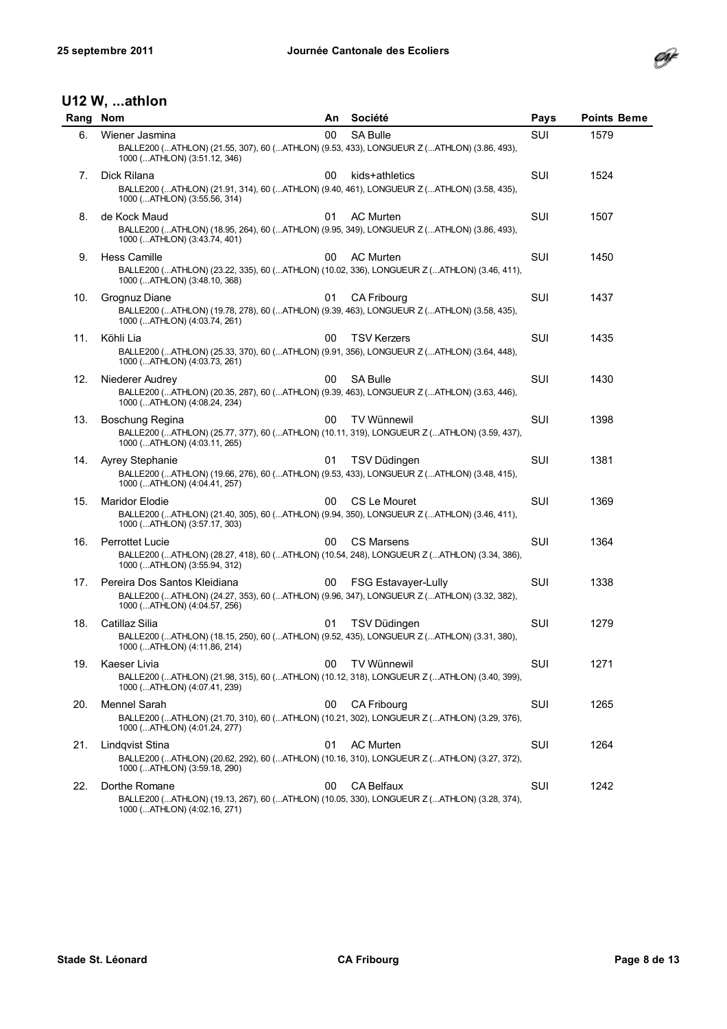

| Rang | <b>Nom</b>                                                                                                                                                | An. | Société                    | Pays | <b>Points Beme</b> |
|------|-----------------------------------------------------------------------------------------------------------------------------------------------------------|-----|----------------------------|------|--------------------|
| 6.   | Wiener Jasmina<br>BALLE200 (ATHLON) (21.55, 307), 60 (ATHLON) (9.53, 433), LONGUEUR Z (ATHLON) (3.86, 493),<br>1000 (ATHLON) (3:51.12, 346)               | 00  | <b>SA Bulle</b>            | SUI  | 1579               |
| 7.   | Dick Rilana<br>BALLE200 (ATHLON) (21.91, 314), 60 (ATHLON) (9.40, 461), LONGUEUR Z (ATHLON) (3.58, 435),<br>1000 (ATHLON) (3:55.56, 314)                  | 00  | kids+athletics             | SUI  | 1524               |
| 8.   | de Kock Maud<br>BALLE200 (ATHLON) (18.95, 264), 60 (ATHLON) (9.95, 349), LONGUEUR Z (ATHLON) (3.86, 493),<br>1000 (ATHLON) (3:43.74, 401)                 | 01  | <b>AC Murten</b>           | SUI  | 1507               |
| 9.   | Hess Camille<br>BALLE200 (ATHLON) (23.22, 335), 60 (ATHLON) (10.02, 336), LONGUEUR Z (ATHLON) (3.46, 411),<br>1000 (ATHLON) (3:48.10, 368)                | 00  | AC Murten                  | SUI  | 1450               |
| 10.  | Grognuz Diane<br>BALLE200 (ATHLON) (19.78, 278), 60 (ATHLON) (9.39, 463), LONGUEUR Z (ATHLON) (3.58, 435),<br>1000 (ATHLON) (4:03.74, 261)                | 01  | <b>CA Fribourg</b>         | SUI  | 1437               |
| 11.  | Köhli Lia<br>BALLE200 (ATHLON) (25.33, 370), 60 (ATHLON) (9.91, 356), LONGUEUR Z (ATHLON) (3.64, 448),<br>1000 (ATHLON) (4:03.73, 261)                    | 00  | <b>TSV Kerzers</b>         | SUI  | 1435               |
| 12.  | Niederer Audrey<br>BALLE200 (ATHLON) (20.35, 287), 60 (ATHLON) (9.39, 463), LONGUEUR Z (ATHLON) (3.63, 446),<br>1000 (ATHLON) (4:08.24, 234)              | 00  | <b>SA Bulle</b>            | SUI  | 1430               |
| 13.  | Boschung Regina<br>BALLE200 (ATHLON) (25.77, 377), 60 (ATHLON) (10.11, 319), LONGUEUR Z (ATHLON) (3.59, 437),<br>1000 (ATHLON) (4:03.11, 265)             | 00  | TV Wünnewil                | SUI  | 1398               |
| 14.  | Ayrey Stephanie<br>BALLE200 (ATHLON) (19.66, 276), 60 (ATHLON) (9.53, 433), LONGUEUR Z (ATHLON) (3.48, 415),<br>1000 (ATHLON) (4:04.41, 257)              | 01  | TSV Düdingen               | SUI  | 1381               |
| 15.  | <b>Maridor Elodie</b><br>BALLE200 (ATHLON) (21.40, 305), 60 (ATHLON) (9.94, 350), LONGUEUR Z (ATHLON) (3.46, 411),<br>1000 (ATHLON) (3:57.17, 303)        | 00  | CS Le Mouret               | SUI  | 1369               |
| 16.  | <b>Perrottet Lucie</b><br>BALLE200 (ATHLON) (28.27, 418), 60 (ATHLON) (10.54, 248), LONGUEUR Z (ATHLON) (3.34, 386),<br>1000 (ATHLON) (3:55.94, 312)      | 00  | <b>CS Marsens</b>          | SUI  | 1364               |
| 17.  | Pereira Dos Santos Kleidiana<br>BALLE200 (ATHLON) (24.27, 353), 60 (ATHLON) (9.96, 347), LONGUEUR Z (ATHLON) (3.32, 382),<br>1000 (ATHLON) (4:04.57, 256) | 00  | <b>FSG Estavayer-Lully</b> | SUI  | 1338               |
| 18.  | Catillaz Silia<br>BALLE200 (ATHLON) (18.15, 250), 60 (ATHLON) (9.52, 435), LONGUEUR Z (ATHLON) (3.31, 380),<br>1000 (ATHLON) (4:11.86, 214)               | 01  | TSV Düdingen               | SUI  | 1279               |
| 19.  | Kaeser Livia<br>BALLE200 (ATHLON) (21.98, 315), 60 (ATHLON) (10.12, 318), LONGUEUR Z (ATHLON) (3.40, 399),<br>1000 (ATHLON) (4:07.41, 239)                | 00  | TV Wünnewil                | SUI  | 1271               |
| 20.  | Mennel Sarah<br>BALLE200 (ATHLON) (21.70, 310), 60 (ATHLON) (10.21, 302), LONGUEUR Z (ATHLON) (3.29, 376),<br>1000 (ATHLON) (4:01.24, 277)                | 00  | CA Fribourg                | SUI  | 1265               |
| 21.  | Lindqvist Stina<br>BALLE200 (ATHLON) (20.62, 292), 60 (ATHLON) (10.16, 310), LONGUEUR Z (ATHLON) (3.27, 372),<br>1000 (ATHLON) (3:59.18, 290)             | 01  | AC Murten                  | SUI  | 1264               |
| 22.  | Dorthe Romane<br>BALLE200 (ATHLON) (19.13, 267), 60 (ATHLON) (10.05, 330), LONGUEUR Z (ATHLON) (3.28, 374),<br>1000 (ATHLON) (4:02.16, 271)               | 00  | CA Belfaux                 | SUI  | 1242               |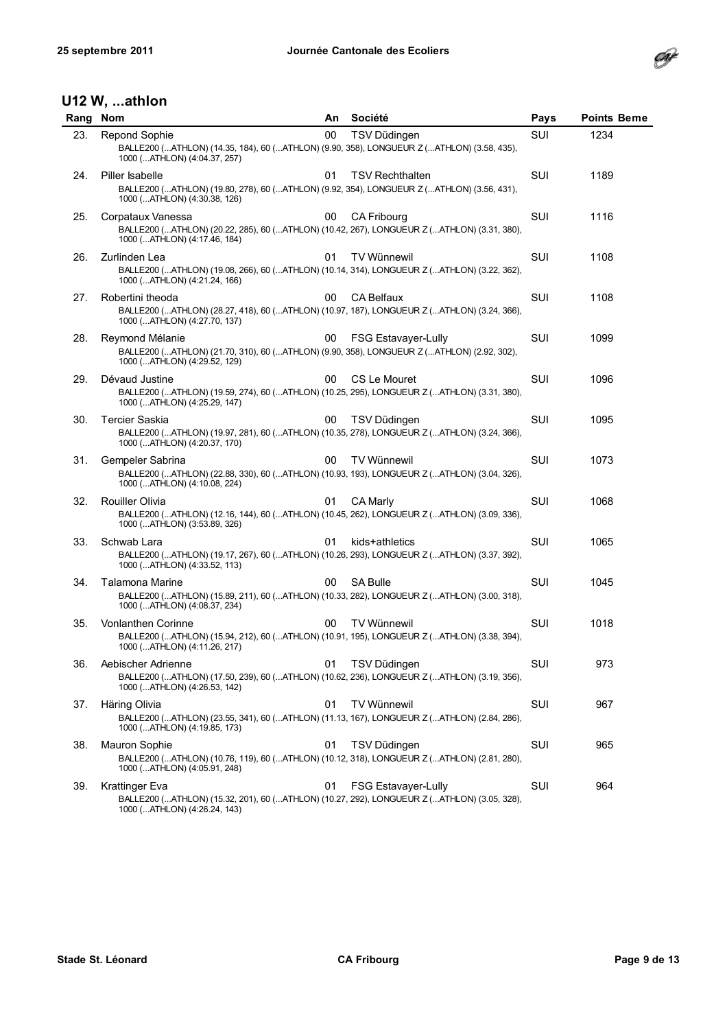

| Rang | <b>Nom</b>                                                                                                                                           | An. | Société                    | Pays | <b>Points Beme</b> |
|------|------------------------------------------------------------------------------------------------------------------------------------------------------|-----|----------------------------|------|--------------------|
| 23.  | <b>Repond Sophie</b><br>BALLE200 (ATHLON) (14.35, 184), 60 (ATHLON) (9.90, 358), LONGUEUR Z (ATHLON) (3.58, 435),<br>1000 (ATHLON) (4:04.37, 257)    | 00  | TSV Düdingen               | SUI  | 1234               |
| 24.  | Piller Isabelle<br>BALLE200 (ATHLON) (19.80, 278), 60 (ATHLON) (9.92, 354), LONGUEUR Z (ATHLON) (3.56, 431),<br>1000 (ATHLON) (4:30.38, 126)         | 01  | <b>TSV Rechthalten</b>     | SUI  | 1189               |
| 25.  | Corpataux Vanessa<br>BALLE200 (ATHLON) (20.22, 285), 60 (ATHLON) (10.42, 267), LONGUEUR Z (ATHLON) (3.31, 380),<br>1000 (ATHLON) (4:17.46, 184)      | 00  | CA Fribourg                | SUI  | 1116               |
| 26.  | Zurlinden Lea<br>BALLE200 (ATHLON) (19.08, 266), 60 (ATHLON) (10.14, 314), LONGUEUR Z (ATHLON) (3.22, 362),<br>1000 (ATHLON) (4:21.24, 166)          | 01  | <b>TV Wünnewil</b>         | SUI  | 1108               |
| 27.  | Robertini theoda<br>BALLE200 (ATHLON) (28.27, 418), 60 (ATHLON) (10.97, 187), LONGUEUR Z (ATHLON) (3.24, 366),<br>1000 (ATHLON) (4:27.70, 137)       | 00  | <b>CA Belfaux</b>          | SUI  | 1108               |
| 28.  | Reymond Mélanie<br>BALLE200 (ATHLON) (21.70, 310), 60 (ATHLON) (9.90, 358), LONGUEUR Z (ATHLON) (2.92, 302),<br>1000 (ATHLON) (4:29.52, 129)         | 00  | <b>FSG Estavayer-Lully</b> | SUI  | 1099               |
| 29.  | Dévaud Justine<br>BALLE200 (ATHLON) (19.59, 274), 60 (ATHLON) (10.25, 295), LONGUEUR Z (ATHLON) (3.31, 380),<br>1000 (ATHLON) (4:25.29, 147)         | 00  | CS Le Mouret               | SUI  | 1096               |
| 30.  | <b>Tercier Saskia</b><br>BALLE200 (ATHLON) (19.97, 281), 60 (ATHLON) (10.35, 278), LONGUEUR Z (ATHLON) (3.24, 366),<br>1000 (ATHLON) (4:20.37, 170)  | 00  | TSV Düdingen               | SUI  | 1095               |
| 31.  | Gempeler Sabrina<br>BALLE200 (ATHLON) (22.88, 330), 60 (ATHLON) (10.93, 193), LONGUEUR Z (ATHLON) (3.04, 326),<br>1000 (ATHLON) (4:10.08, 224)       | 00  | <b>TV Wünnewil</b>         | SUI  | 1073               |
| 32.  | <b>Rouiller Olivia</b><br>BALLE200 (ATHLON) (12.16, 144), 60 (ATHLON) (10.45, 262), LONGUEUR Z (ATHLON) (3.09, 336),<br>1000 (ATHLON) (3:53.89, 326) | 01  | CA Marly                   | SUI  | 1068               |
| 33.  | Schwab Lara<br>BALLE200 (ATHLON) (19.17, 267), 60 (ATHLON) (10.26, 293), LONGUEUR Z (ATHLON) (3.37, 392),<br>1000 (ATHLON) (4:33.52, 113)            | 01  | kids+athletics             | SUI  | 1065               |
| 34.  | Talamona Marine<br>BALLE200 (ATHLON) (15.89, 211), 60 (ATHLON) (10.33, 282), LONGUEUR Z (ATHLON) (3.00, 318),<br>1000 (ATHLON) (4:08.37, 234)        | 00  | <b>SA Bulle</b>            | SUI  | 1045               |
| 35.  | Vonlanthen Corinne<br>BALLE200 (ATHLON) (15.94, 212), 60 (ATHLON) (10.91, 195), LONGUEUR Z (ATHLON) (3.38, 394),<br>1000 (ATHLON) (4:11.26, 217)     | 00  | <b>TV Wünnewil</b>         | SUI  | 1018               |
| 36.  | Aebischer Adrienne<br>BALLE200 (ATHLON) (17.50, 239), 60 (ATHLON) (10.62, 236), LONGUEUR Z (ATHLON) (3.19, 356),<br>1000 (ATHLON) (4:26.53, 142)     | 01  | TSV Düdingen               | SUI  | 973                |
| 37.  | Häring Olivia<br>BALLE200 (ATHLON) (23.55, 341), 60 (ATHLON) (11.13, 167), LONGUEUR Z (ATHLON) (2.84, 286),<br>1000 (ATHLON) (4:19.85, 173)          | 01  | TV Wünnewil                | SUI  | 967                |
| 38.  | Mauron Sophie<br>BALLE200 (ATHLON) (10.76, 119), 60 (ATHLON) (10.12, 318), LONGUEUR Z (ATHLON) (2.81, 280),<br>1000 (ATHLON) (4:05.91, 248)          | 01  | TSV Düdingen               | SUI  | 965                |
| 39.  | Krattinger Eva<br>BALLE200 (ATHLON) (15.32, 201), 60 (ATHLON) (10.27, 292), LONGUEUR Z (ATHLON) (3.05, 328),<br>1000 (ATHLON) (4:26.24, 143)         | 01  | FSG Estavayer-Lully        | SUI  | 964                |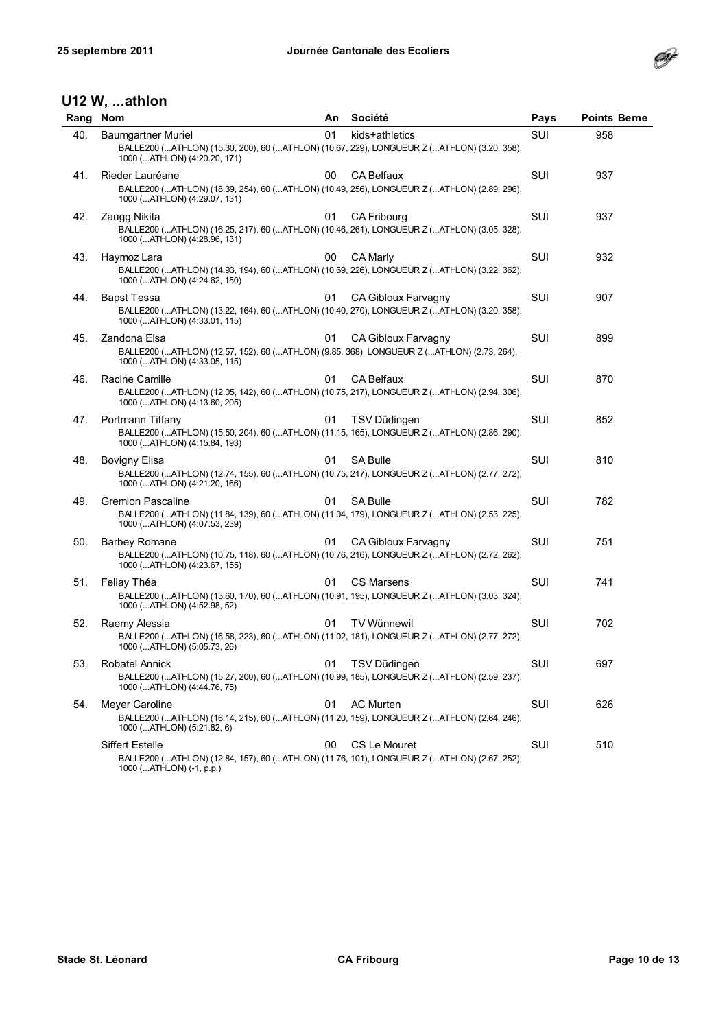

| Rang | <b>Nom</b>                                                                                                                                                                    | An | Société             | Pays | <b>Points Beme</b> |
|------|-------------------------------------------------------------------------------------------------------------------------------------------------------------------------------|----|---------------------|------|--------------------|
| 40.  | Baumgartner Muriel<br>BALLE200 (ATHLON) (15.30, 200), 60 (ATHLON) (10.67, 229), LONGUEUR Z (ATHLON) (3.20, 358),                                                              | 01 | kids+athletics      | SUI  | 958                |
| 41.  | 1000 (ATHLON) (4:20.20, 171)<br>Rieder Lauréane<br>BALLE200 (ATHLON) (18.39, 254), 60 (ATHLON) (10.49, 256), LONGUEUR Z (ATHLON) (2.89, 296),<br>1000 (ATHLON) (4:29.07, 131) | 00 | <b>CA Belfaux</b>   | SUI  | 937                |
| 42.  | Zaugg Nikita<br>BALLE200 (ATHLON) (16.25, 217), 60 (ATHLON) (10.46, 261), LONGUEUR Z (ATHLON) (3.05, 328),<br>1000 (ATHLON) (4:28.96, 131)                                    | 01 | CA Fribourg         | SUI  | 937                |
| 43.  | Haymoz Lara<br>BALLE200 (ATHLON) (14.93, 194), 60 (ATHLON) (10.69, 226), LONGUEUR Z (ATHLON) (3.22, 362),<br>1000 (ATHLON) (4:24.62, 150)                                     | 00 | CA Marly            | SUI  | 932                |
| 44.  | <b>Bapst Tessa</b><br>BALLE200 (ATHLON) (13.22, 164), 60 (ATHLON) (10.40, 270), LONGUEUR Z (ATHLON) (3.20, 358),<br>1000 (ATHLON) (4:33.01, 115)                              | 01 | CA Gibloux Farvagny | SUI  | 907                |
| 45.  | Zandona Elsa<br>BALLE200 (ATHLON) (12.57, 152), 60 (ATHLON) (9.85, 368), LONGUEUR Z (ATHLON) (2.73, 264),<br>1000 (ATHLON) (4:33.05, 115)                                     | 01 | CA Gibloux Farvagny | SUI  | 899                |
| 46.  | Racine Camille<br>BALLE200 (ATHLON) (12.05, 142), 60 (ATHLON) (10.75, 217), LONGUEUR Z (ATHLON) (2.94, 306),<br>1000 (ATHLON) (4:13.60, 205)                                  | 01 | <b>CA Belfaux</b>   | SUI  | 870                |
| 47.  | Portmann Tiffany<br>BALLE200 (ATHLON) (15.50, 204), 60 (ATHLON) (11.15, 165), LONGUEUR Z (ATHLON) (2.86, 290),<br>1000 (ATHLON) (4:15.84, 193)                                | 01 | TSV Düdingen        | SUI  | 852                |
| 48.  | Bovigny Elisa<br>BALLE200 (ATHLON) (12.74, 155), 60 (ATHLON) (10.75, 217), LONGUEUR Z (ATHLON) (2.77, 272),<br>1000 (ATHLON) (4:21.20, 166)                                   | 01 | <b>SA Bulle</b>     | SUI  | 810                |
| 49.  | <b>Gremion Pascaline</b><br>BALLE200 (ATHLON) (11.84, 139), 60 (ATHLON) (11.04, 179), LONGUEUR Z (ATHLON) (2.53, 225),<br>1000 (ATHLON) (4:07.53, 239)                        | 01 | <b>SA Bulle</b>     | SUI  | 782                |
| 50.  | <b>Barbey Romane</b><br>BALLE200 (ATHLON) (10.75, 118), 60 (ATHLON) (10.76, 216), LONGUEUR Z (ATHLON) (2.72, 262),<br>1000 (ATHLON) (4:23.67, 155)                            | 01 | CA Gibloux Farvagny | SUI  | 751                |
| 51.  | Fellay Théa<br>BALLE200 (ATHLON) (13.60, 170), 60 (ATHLON) (10.91, 195), LONGUEUR Z (ATHLON) (3.03, 324),<br>1000 (ATHLON) (4:52.98, 52)                                      | 01 | <b>CS Marsens</b>   | SUI  | 741                |
| 52.  | Raemy Alessia<br>BALLE200 (ATHLON) (16.58, 223), 60 (ATHLON) (11.02, 181), LONGUEUR Z (ATHLON) (2.77, 272),<br>1000 (ATHLON) (5:05.73, 26)                                    | 01 | TV Wünnewil         | SUI  | 702                |
| 53.  | Robatel Annick<br>BALLE200 (ATHLON) (15.27, 200), 60 (ATHLON) (10.99, 185), LONGUEUR Z (ATHLON) (2.59, 237),<br>1000 (ATHLON) (4:44.76, 75)                                   | 01 | TSV Düdingen        | SUI  | 697                |
| 54.  | Meyer Caroline<br>BALLE200 (ATHLON) (16.14, 215), 60 (ATHLON) (11.20, 159), LONGUEUR Z (ATHLON) (2.64, 246),<br>1000 (ATHLON) (5:21.82, 6)                                    | 01 | AC Murten           | SUI  | 626                |
|      | <b>Siffert Estelle</b><br>BALLE200 (ATHLON) (12.84, 157), 60 (ATHLON) (11.76, 101), LONGUEUR Z (ATHLON) (2.67, 252),<br>1000 (ATHLON) (-1, p.p.)                              | 00 | CS Le Mouret        | SUI  | 510                |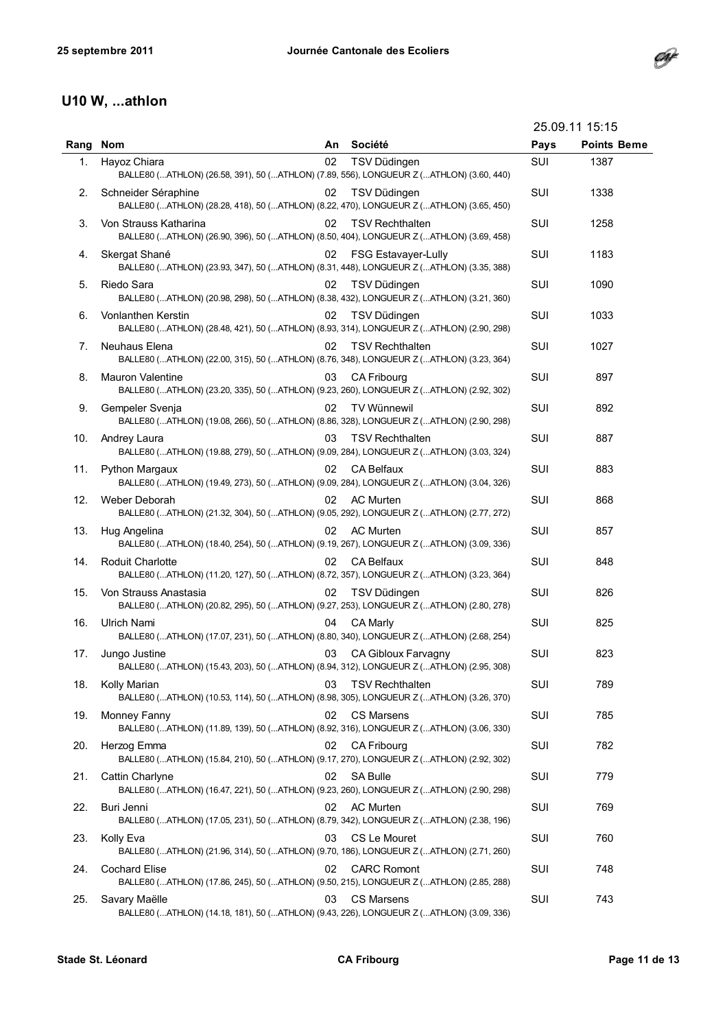

|      |                                                                                                                  |    |                            |      | 25.09.11 15:15     |  |
|------|------------------------------------------------------------------------------------------------------------------|----|----------------------------|------|--------------------|--|
| Rang | <b>Nom</b>                                                                                                       | An | Société                    | Pays | <b>Points Beme</b> |  |
| 1.   | Hayoz Chiara<br>BALLE80 (ATHLON) (26.58, 391), 50 (ATHLON) (7.89, 556), LONGUEUR Z (ATHLON) (3.60, 440)          | 02 | TSV Düdingen               | SUI  | 1387               |  |
| 2.   | Schneider Séraphine<br>BALLE80 (ATHLON) (28.28, 418), 50 (ATHLON) (8.22, 470), LONGUEUR Z (ATHLON) (3.65, 450)   | 02 | TSV Düdingen               | SUI  | 1338               |  |
| 3.   | Von Strauss Katharina<br>BALLE80 (ATHLON) (26.90, 396), 50 (ATHLON) (8.50, 404), LONGUEUR Z (ATHLON) (3.69, 458) | 02 | <b>TSV Rechthalten</b>     | SUI  | 1258               |  |
| 4.   | Skergat Shané<br>BALLE80 (ATHLON) (23.93, 347), 50 (ATHLON) (8.31, 448), LONGUEUR Z (ATHLON) (3.35, 388)         | 02 | <b>FSG Estavayer-Lully</b> | SUI  | 1183               |  |
| 5.   | Riedo Sara<br>BALLE80 (ATHLON) (20.98, 298), 50 (ATHLON) (8.38, 432), LONGUEUR Z (ATHLON) (3.21, 360)            | 02 | TSV Düdingen               | SUI  | 1090               |  |
| 6.   | Vonlanthen Kerstin<br>BALLE80 (ATHLON) (28.48, 421), 50 (ATHLON) (8.93, 314), LONGUEUR Z (ATHLON) (2.90, 298)    | 02 | TSV Düdingen               | SUI  | 1033               |  |
| 7.   | Neuhaus Elena<br>BALLE80 (ATHLON) (22.00, 315), 50 (ATHLON) (8.76, 348), LONGUEUR Z (ATHLON) (3.23, 364)         | 02 | <b>TSV Rechthalten</b>     | SUI  | 1027               |  |
| 8.   | Mauron Valentine<br>BALLE80 (ATHLON) (23.20, 335), 50 (ATHLON) (9.23, 260), LONGUEUR Z (ATHLON) (2.92, 302)      | 03 | <b>CA Fribourg</b>         | SUI  | 897                |  |
| 9.   | Gempeler Svenja<br>BALLE80 (ATHLON) (19.08, 266), 50 (ATHLON) (8.86, 328), LONGUEUR Z (ATHLON) (2.90, 298)       | 02 | TV Wünnewil                | SUI  | 892                |  |
| 10.  | Andrey Laura<br>BALLE80 (ATHLON) (19.88, 279), 50 (ATHLON) (9.09, 284), LONGUEUR Z (ATHLON) (3.03, 324)          | 03 | <b>TSV Rechthalten</b>     | SUI  | 887                |  |
| 11.  | <b>Python Margaux</b><br>BALLE80 (ATHLON) (19.49, 273), 50 (ATHLON) (9.09, 284), LONGUEUR Z (ATHLON) (3.04, 326) | 02 | CA Belfaux                 | SUI  | 883                |  |
| 12.  | Weber Deborah<br>BALLE80 (ATHLON) (21.32, 304), 50 (ATHLON) (9.05, 292), LONGUEUR Z (ATHLON) (2.77, 272)         | 02 | <b>AC Murten</b>           | SUI  | 868                |  |
| 13.  | Hug Angelina<br>BALLE80 (ATHLON) (18.40, 254), 50 (ATHLON) (9.19, 267), LONGUEUR Z (ATHLON) (3.09, 336)          | 02 | <b>AC Murten</b>           | SUI  | 857                |  |
| 14.  | Roduit Charlotte<br>BALLE80 (ATHLON) (11.20, 127), 50 (ATHLON) (8.72, 357), LONGUEUR Z (ATHLON) (3.23, 364)      | 02 | CA Belfaux                 | SUI  | 848                |  |
| 15.  | Von Strauss Anastasia<br>BALLE80 (ATHLON) (20.82, 295), 50 (ATHLON) (9.27, 253), LONGUEUR Z (ATHLON) (2.80, 278) | 02 | TSV Düdingen               | SUI  | 826                |  |
| 16.  | <b>Ulrich Nami</b><br>BALLE80 (ATHLON) (17.07, 231), 50 (ATHLON) (8.80, 340), LONGUEUR Z (ATHLON) (2.68, 254)    | 04 | <b>CA Marlv</b>            | SUI  | 825                |  |
| 17.  | Jungo Justine<br>BALLE80 (ATHLON) (15.43, 203), 50 (ATHLON) (8.94, 312), LONGUEUR Z (ATHLON) (2.95, 308)         |    | 03 CA Gibloux Farvagny     | SUI  | 823                |  |
| 18.  | Kolly Marian<br>BALLE80 (ATHLON) (10.53, 114), 50 (ATHLON) (8.98, 305), LONGUEUR Z (ATHLON) (3.26, 370)          | 03 | <b>TSV Rechthalten</b>     | SUI  | 789                |  |
| 19.  | Monney Fanny<br>BALLE80 (ATHLON) (11.89, 139), 50 (ATHLON) (8.92, 316), LONGUEUR Z (ATHLON) (3.06, 330)          | 02 | <b>CS Marsens</b>          | SUI  | 785                |  |
| 20.  | Herzog Emma<br>BALLE80 (ATHLON) (15.84, 210), 50 (ATHLON) (9.17, 270), LONGUEUR Z (ATHLON) (2.92, 302)           | 02 | <b>CA Fribourg</b>         | SUI  | 782                |  |
| 21.  | Cattin Charlyne<br>BALLE80 (ATHLON) (16.47, 221), 50 (ATHLON) (9.23, 260), LONGUEUR Z (ATHLON) (2.90, 298)       | 02 | <b>SA Bulle</b>            | SUI  | 779                |  |
| 22.  | Buri Jenni<br>BALLE80 (ATHLON) (17.05, 231), 50 (ATHLON) (8.79, 342), LONGUEUR Z (ATHLON) (2.38, 196)            | 02 | <b>AC Murten</b>           | SUI  | 769                |  |
| 23.  | Kolly Eva<br>BALLE80 (ATHLON) (21.96, 314), 50 (ATHLON) (9.70, 186), LONGUEUR Z (ATHLON) (2.71, 260)             | 03 | CS Le Mouret               | SUI  | 760                |  |
| 24.  | <b>Cochard Elise</b><br>BALLE80 (ATHLON) (17.86, 245), 50 (ATHLON) (9.50, 215), LONGUEUR Z (ATHLON) (2.85, 288)  | 02 | <b>CARC Romont</b>         | SUI  | 748                |  |
| 25.  | Savary Maëlle<br>BALLE80 (ATHLON) (14.18, 181), 50 (ATHLON) (9.43, 226), LONGUEUR Z (ATHLON) (3.09, 336)         | 03 | <b>CS Marsens</b>          | SUI  | 743                |  |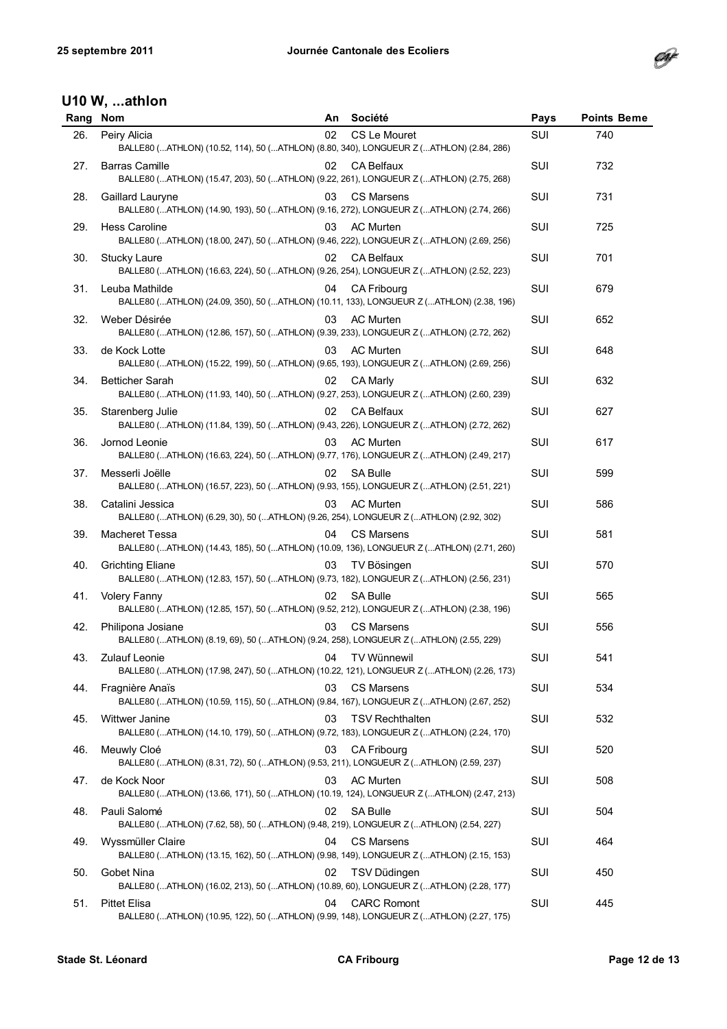

| Rang | <b>Nom</b>                                                                                                                                      | An | Société                | Pays | <b>Points Beme</b> |
|------|-------------------------------------------------------------------------------------------------------------------------------------------------|----|------------------------|------|--------------------|
| 26.  | Peiry Alicia<br>BALLE80 (ATHLON) (10.52, 114), 50 (ATHLON) (8.80, 340), LONGUEUR Z (ATHLON) (2.84, 286)                                         | 02 | CS Le Mouret           | SUI  | 740                |
| 27.  | <b>Barras Camille</b><br>BALLE80 (ATHLON) (15.47, 203), 50 (ATHLON) (9.22, 261), LONGUEUR Z (ATHLON) (2.75, 268)                                | 02 | <b>CA Belfaux</b>      | SUI  | 732                |
| 28.  | Gaillard Lauryne<br>BALLE80 (ATHLON) (14.90, 193), 50 (ATHLON) (9.16, 272), LONGUEUR Z (ATHLON) (2.74, 266)                                     | 03 | <b>CS Marsens</b>      | SUI  | 731                |
| 29.  | <b>Hess Caroline</b><br>BALLE80 (ATHLON) (18.00, 247), 50 (ATHLON) (9.46, 222), LONGUEUR Z (ATHLON) (2.69, 256)                                 | 03 | AC Murten              | SUI  | 725                |
| 30.  | <b>Stucky Laure</b><br>BALLE80 (ATHLON) (16.63, 224), 50 (ATHLON) (9.26, 254), LONGUEUR Z (ATHLON) (2.52, 223)                                  | 02 | <b>CA Belfaux</b>      | SUI  | 701                |
| 31.  | Leuba Mathilde<br>BALLE80 (ATHLON) (24.09, 350), 50 (ATHLON) (10.11, 133), LONGUEUR Z (ATHLON) (2.38, 196)                                      | 04 | CA Fribourg            | SUI  | 679                |
| 32.  | Weber Désirée<br>BALLE80 (ATHLON) (12.86, 157), 50 (ATHLON) (9.39, 233), LONGUEUR Z (ATHLON) (2.72, 262)                                        | 03 | <b>AC Murten</b>       | SUI  | 652                |
| 33.  | de Kock Lotte<br>BALLE80 (ATHLON) (15.22, 199), 50 (ATHLON) (9.65, 193), LONGUEUR Z (ATHLON) (2.69, 256)                                        | 03 | <b>AC Murten</b>       | SUI  | 648                |
| 34.  | <b>Betticher Sarah</b><br>BALLE80 (ATHLON) (11.93, 140), 50 (ATHLON) (9.27, 253), LONGUEUR Z (ATHLON) (2.60, 239)                               | 02 | <b>CA Marly</b>        | SUI  | 632                |
| 35.  | Starenberg Julie<br>BALLE80 (ATHLON) (11.84, 139), 50 (ATHLON) (9.43, 226), LONGUEUR Z (ATHLON) (2.72, 262)                                     | 02 | <b>CA Belfaux</b>      | SUI  | 627                |
| 36.  | Jornod Leonie<br>BALLE80 (ATHLON) (16.63, 224), 50 (ATHLON) (9.77, 176), LONGUEUR Z (ATHLON) (2.49, 217)                                        | 03 | <b>AC Murten</b>       | SUI  | 617                |
| 37.  | Messerli Joëlle<br>BALLE80 (ATHLON) (16.57, 223), 50 (ATHLON) (9.93, 155), LONGUEUR Z (ATHLON) (2.51, 221)                                      | 02 | <b>SA Bulle</b>        | SUI  | 599                |
| 38.  | Catalini Jessica<br>BALLE80 (ATHLON) (6.29, 30), 50 (ATHLON) (9.26, 254), LONGUEUR Z (ATHLON) (2.92, 302)                                       | 03 | <b>AC Murten</b>       | SUI  | 586                |
| 39.  | <b>Macheret Tessa</b><br>BALLE80 (ATHLON) (14.43, 185), 50 (ATHLON) (10.09, 136), LONGUEUR Z (ATHLON) (2.71, 260)                               | 04 | <b>CS Marsens</b>      | SUI  | 581                |
| 40.  | <b>Grichting Eliane</b><br>BALLE80 (ATHLON) (12.83, 157), 50 (ATHLON) (9.73, 182), LONGUEUR Z (ATHLON) (2.56, 231)                              | 03 | TV Bösingen            | SUI  | 570                |
| 41.  | <b>Volery Fanny</b><br>BALLE80 (ATHLON) (12.85, 157), 50 (ATHLON) (9.52, 212), LONGUEUR Z (ATHLON) (2.38, 196)                                  | 02 | <b>SA Bulle</b>        | SUI  | 565                |
| 42.  | Philipona Josiane<br>BALLE80 (ATHLON) (8.19, 69), 50 (ATHLON) (9.24, 258), LONGUEUR Z (ATHLON) (2.55, 229)                                      | 03 | <b>CS Marsens</b>      | SUI  | 556                |
|      | 43. Zulauf Leonie and South Article 104 TV Wünnewil<br>BALLE80 (ATHLON) (17.98, 247), 50 (ATHLON) (10.22, 121), LONGUEUR Z (ATHLON) (2.26, 173) |    |                        | SUI  | 541                |
| 44.  | Fragnière Anaïs<br>BALLE80 (ATHLON) (10.59, 115), 50 (ATHLON) (9.84, 167), LONGUEUR Z (ATHLON) (2.67, 252)                                      | 03 | <b>CS Marsens</b>      | SUI  | 534                |
| 45.  | Wittwer Janine<br>BALLE80 (ATHLON) (14.10, 179), 50 (ATHLON) (9.72, 183), LONGUEUR Z (ATHLON) (2.24, 170)                                       | 03 | <b>TSV Rechthalten</b> | SUI  | 532                |
| 46.  | Meuwly Cloé<br>BALLE80 (ATHLON) (8.31, 72), 50 (ATHLON) (9.53, 211), LONGUEUR Z (ATHLON) (2.59, 237)                                            | 03 | <b>CA Fribourg</b>     | SUI  | 520                |
| 47.  | de Kock Noor<br>BALLE80 (ATHLON) (13.66, 171), 50 (ATHLON) (10.19, 124), LONGUEUR Z (ATHLON) (2.47, 213)                                        | 03 | <b>AC Murten</b>       | SUI  | 508                |
| 48.  | Pauli Salomé<br>BALLE80 (ATHLON) (7.62, 58), 50 (ATHLON) (9.48, 219), LONGUEUR Z (ATHLON) (2.54, 227)                                           | 02 | <b>SA Bulle</b>        | SUI  | 504                |
| 49.  | Wyssmüller Claire<br>BALLE80 (ATHLON) (13.15, 162), 50 (ATHLON) (9.98, 149), LONGUEUR Z (ATHLON) (2.15, 153)                                    | 04 | <b>CS Marsens</b>      | SUI  | 464                |
| 50.  | Gobet Nina<br>BALLE80 (ATHLON) (16.02, 213), 50 (ATHLON) (10.89, 60), LONGUEUR Z (ATHLON) (2.28, 177)                                           | 02 | TSV Düdingen           | SUI  | 450                |
| 51.  | <b>Pittet Elisa</b><br>BALLE80 (ATHLON) (10.95, 122), 50 (ATHLON) (9.99, 148), LONGUEUR Z (ATHLON) (2.27, 175)                                  | 04 | <b>CARC Romont</b>     | SUI  | 445                |